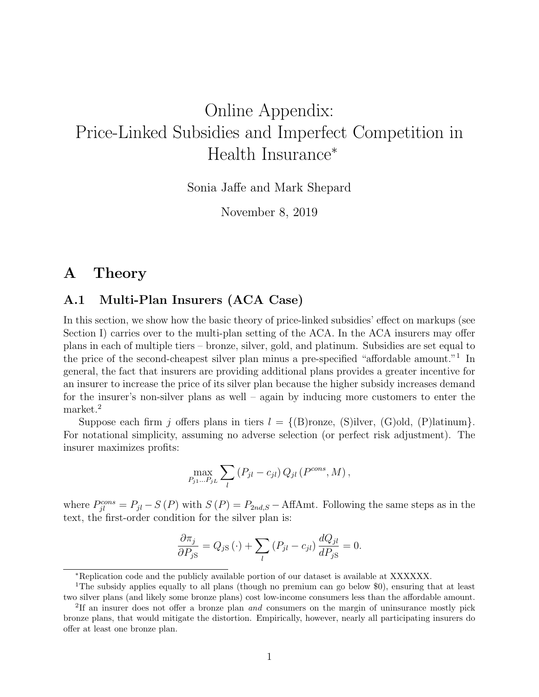# <span id="page-0-0"></span>Online Appendix: Price-Linked Subsidies and Imperfect Competition in Health Insurance<sup>∗</sup>

Sonia Jaffe and Mark Shepard

November 8, 2019

# A Theory

# A.1 Multi-Plan Insurers (ACA Case)

In this section, we show how the basic theory of price-linked subsidies' effect on markups (see Section I) carries over to the multi-plan setting of the ACA. In the ACA insurers may offer plans in each of multiple tiers – bronze, silver, gold, and platinum. Subsidies are set equal to the price of the second-cheapest silver plan minus a pre-specified "affordable amount."<sup>1</sup> In general, the fact that insurers are providing additional plans provides a greater incentive for an insurer to increase the price of its silver plan because the higher subsidy increases demand for the insurer's non-silver plans as well – again by inducing more customers to enter the market.<sup>2</sup>

Suppose each firm j offers plans in tiers  $l = \{(\text{B}) \text{conc}, (\text{S}) \text{ilver}, (\text{G}) \text{old}, (\text{P}) \text{latinum}\}.$ For notational simplicity, assuming no adverse selection (or perfect risk adjustment). The insurer maximizes profits:

$$
\max_{P_{j1}...P_{jL}} \sum_l (P_{jl} - c_{jl}) Q_{jl} (P^{cons}, M),
$$

where  $P_{jl}^{cons} = P_{jl} - S(P)$  with  $S(P) = P_{2nd,S} - \text{Aff}(Amt)$ . Following the same steps as in the text, the first-order condition for the silver plan is:

$$
\frac{\partial \pi_j}{\partial P_{jS}} = Q_{jS} (\cdot) + \sum_l (P_{jl} - c_{jl}) \frac{dQ_{jl}}{dP_{jS}} = 0.
$$

<sup>∗</sup>Replication code and the publicly available portion of our dataset is available at XXXXXX.

<sup>&</sup>lt;sup>1</sup>The subsidy applies equally to all plans (though no premium can go below \$0), ensuring that at least two silver plans (and likely some bronze plans) cost low-income consumers less than the affordable amount.

<sup>&</sup>lt;sup>2</sup>If an insurer does not offer a bronze plan *and* consumers on the margin of uninsurance mostly pick bronze plans, that would mitigate the distortion. Empirically, however, nearly all participating insurers do offer at least one bronze plan.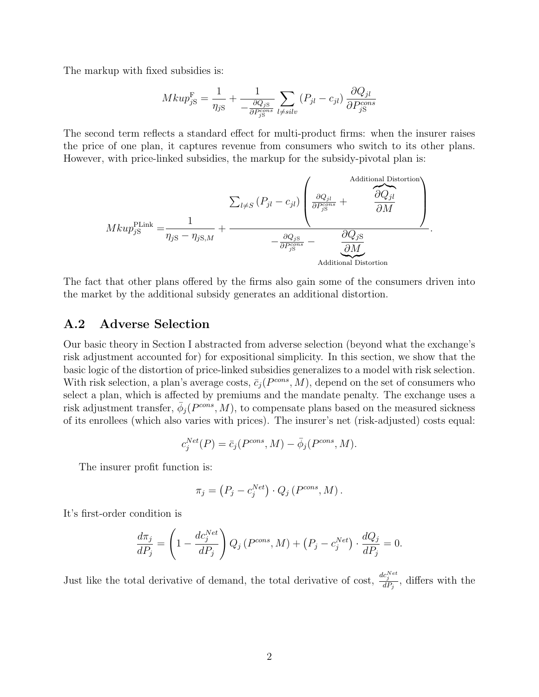The markup with fixed subsidies is:

$$
Mkup_{jS}^{\mathcal{F}} = \frac{1}{\eta_{jS}} + \frac{1}{-\frac{\partial Q_{jS}}{\partial P_{jS}^{cons}}}\sum_{l \neq silv} (P_{jl} - c_{jl})\frac{\partial Q_{jl}}{\partial P_{jS}^{cons}}
$$

The second term reflects a standard effect for multi-product firms: when the insurer raises the price of one plan, it captures revenue from consumers who switch to its other plans. However, with price-linked subsidies, the markup for the subsidy-pivotal plan is:

$$
Mkup_{jS}^{\text{PLink}} = \frac{1}{\eta_{jS} - \eta_{jS,M}} + \frac{\sum_{l \neq S} (P_{jl} - c_{jl}) \left( \frac{\partial Q_{jl}}{\partial P_{jS}^{cons}} + \frac{\partial Q_{jl}}{\partial M} \right)}{-\frac{\partial Q_{jS}}{\partial P_{jS}^{cons}} - \underbrace{\frac{\partial Q_{jS}}{\partial M}}_{\text{Additional Distortion}}
$$

The fact that other plans offered by the firms also gain some of the consumers driven into the market by the additional subsidy generates an additional distortion.

# <span id="page-1-0"></span>A.2 Adverse Selection

Our basic theory in Section I abstracted from adverse selection (beyond what the exchange's risk adjustment accounted for) for expositional simplicity. In this section, we show that the basic logic of the distortion of price-linked subsidies generalizes to a model with risk selection. With risk selection, a plan's average costs,  $\bar{c}_j(P^{cons}, M)$ , depend on the set of consumers who select a plan, which is affected by premiums and the mandate penalty. The exchange uses a risk adjustment transfer,  $\bar{\phi}_j(P^{cons}, M)$ , to compensate plans based on the measured sickness of its enrollees (which also varies with prices). The insurer's net (risk-adjusted) costs equal:

$$
c_j^{Net}(P) = \bar{c}_j(P^{cons}, M) - \bar{\phi}_j(P^{cons}, M).
$$

The insurer profit function is:

$$
\pi_j = (P_j - c_j^{Net}) \cdot Q_j (P^{cons}, M).
$$

It's first-order condition is

$$
\frac{d\pi_j}{dP_j} = \left(1 - \frac{dc_j^{Net}}{dP_j}\right)Q_j\left(P^{cons}, M\right) + \left(P_j - c_j^{Net}\right) \cdot \frac{dQ_j}{dP_j} = 0.
$$

Just like the total derivative of demand, the total derivative of cost,  $\frac{dc_j^{Net}}{dP_j}$ , differs with the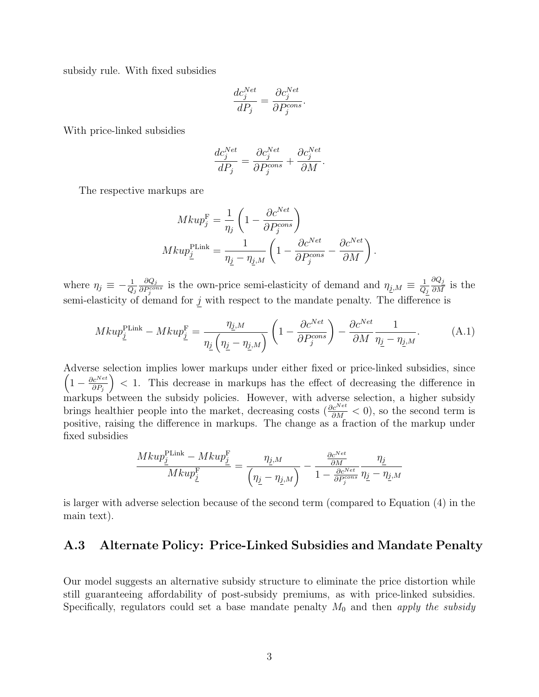subsidy rule. With fixed subsidies

$$
\frac{dc_j^{Net}}{dP_j} = \frac{\partial c_j^{Net}}{\partial P_j^{cons}}.
$$

With price-linked subsidies

<span id="page-2-0"></span>
$$
\frac{dc_j^{Net}}{dP_j} = \frac{\partial c_j^{Net}}{\partial P_j^{cons}} + \frac{\partial c_j^{Net}}{\partial M}.
$$

The respective markups are

$$
Mkup_j^{\text{F}} = \frac{1}{\eta_j} \left( 1 - \frac{\partial c^{Net}}{\partial P_j^{cons}} \right)
$$

$$
Mkup_j^{\text{PLink}} = \frac{1}{\eta_j - \eta_{j,M}} \left( 1 - \frac{\partial c^{Net}}{\partial P_j^{cons}} - \frac{\partial c^{Net}}{\partial M} \right).
$$

where  $\eta_j \equiv -\frac{1}{Q_j}$  $\partial Q_j$  $\frac{\partial Q_j}{\partial P_j^{cons}}$  is the own-price semi-elasticity of demand and  $\eta_{j,M} \equiv \frac{1}{Q_j}$  $Q_j$  $\frac{\partial Q_j}{\partial M}$  is the semi-elasticity of demand for  $j$  with respect to the mandate penalty. The difference is

$$
Mkup_{\underline{j}}^{\text{PLink}} - Mkup_{\underline{j}}^{\text{F}} = \frac{\eta_{\underline{j},M}}{\eta_{\underline{j}}\left(\eta_{\underline{j}} - \eta_{\underline{j},M}\right)} \left(1 - \frac{\partial c^{Net}}{\partial P_j^{cons}}\right) - \frac{\partial c^{Net}}{\partial M} \frac{1}{\eta_{\underline{j}} - \eta_{\underline{j},M}}.\tag{A.1}
$$

Adverse selection implies lower markups under either fixed or price-linked subsidies, since  $\left(1-\frac{\partial c^{Net}}{\partial P}\right)$  $\partial P_j$  $($   $\geq$  1. This decrease in markups has the effect of decreasing the difference in markups between the subsidy policies. However, with adverse selection, a higher subsidy brings healthier people into the market, decreasing costs ( $\frac{\partial c^{Net}}{\partial M} < 0$ ), so the second term is positive, raising the difference in markups. The change as a fraction of the markup under fixed subsidies

$$
\frac{Mkup_{\underline{j}}^{\text{PLink}}-Mkup_{\underline{j}}^{\text{F}}}{Mkup_{\underline{j}}^{\text{F}}}=\frac{\eta_{\underline{j},M}}{\left(\eta_{\underline{j}}-\eta_{\underline{j},M}\right)}-\frac{\frac{\partial c^{Net}}{\partial M}}{1-\frac{\partial c^{Net}}{\partial P_{\underline{j}}^{cons}}}\frac{\eta_{\underline{j}}}{\eta_{\underline{j}}-\eta_{\underline{j},M}}
$$

is larger with adverse selection because of the second term (compared to Equation (4) in the main text).

# A.3 Alternate Policy: Price-Linked Subsidies and Mandate Penalty

Our model suggests an alternative subsidy structure to eliminate the price distortion while still guaranteeing affordability of post-subsidy premiums, as with price-linked subsidies. Specifically, regulators could set a base mandate penalty  $M_0$  and then apply the subsidy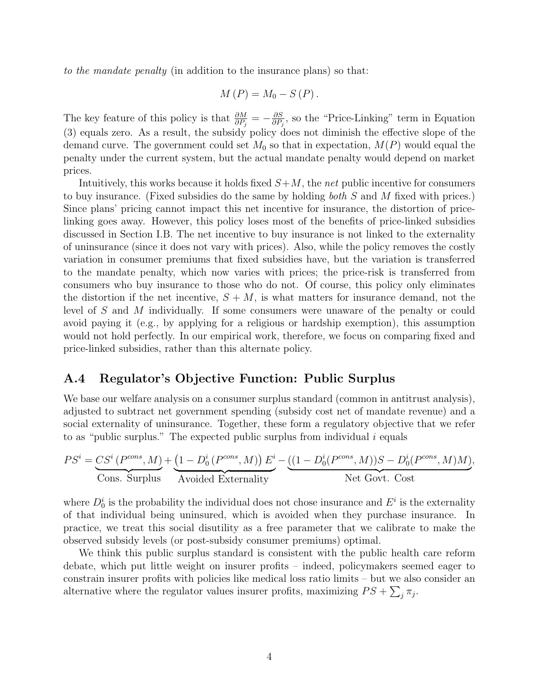to the mandate penalty (in addition to the insurance plans) so that:

$$
M(P) = M_0 - S(P).
$$

The key feature of this policy is that  $\frac{\partial M}{\partial P_j} = -\frac{\partial S}{\partial P_j}$  $\frac{\partial S}{\partial P_j}$ , so the "Price-Linking" term in Equation (3) equals zero. As a result, the subsidy policy does not diminish the effective slope of the demand curve. The government could set  $M_0$  so that in expectation,  $M(P)$  would equal the penalty under the current system, but the actual mandate penalty would depend on market prices.

Intuitively, this works because it holds fixed  $S+M$ , the net public incentive for consumers to buy insurance. (Fixed subsidies do the same by holding both S and M fixed with prices.) Since plans' pricing cannot impact this net incentive for insurance, the distortion of pricelinking goes away. However, this policy loses most of the benefits of price-linked subsidies discussed in Section I.B. The net incentive to buy insurance is not linked to the externality of uninsurance (since it does not vary with prices). Also, while the policy removes the costly variation in consumer premiums that fixed subsidies have, but the variation is transferred to the mandate penalty, which now varies with prices; the price-risk is transferred from consumers who buy insurance to those who do not. Of course, this policy only eliminates the distortion if the net incentive,  $S + M$ , is what matters for insurance demand, not the level of S and M individually. If some consumers were unaware of the penalty or could avoid paying it (e.g., by applying for a religious or hardship exemption), this assumption would not hold perfectly. In our empirical work, therefore, we focus on comparing fixed and price-linked subsidies, rather than this alternate policy.

# <span id="page-3-0"></span>A.4 Regulator's Objective Function: Public Surplus

We base our welfare analysis on a consumer surplus standard (common in antitrust analysis), adjusted to subtract net government spending (subsidy cost net of mandate revenue) and a social externality of uninsurance. Together, these form a regulatory objective that we refer to as "public surplus." The expected public surplus from individual  $i$  equals

$$
PS^{i} = \underbrace{CS^{i}(P^{cons}, M)}_{\text{Cons. Surplus}} + \underbrace{(1 - D_{0}^{i}(P^{cons}, M)) E^{i}}_{\text{Avoided Externality}} - \underbrace{((1 - D_{0}^{i}(P^{cons}, M))S - D_{0}^{i}(P^{cons}, M)M)}_{\text{Net Govt. Cost}},
$$

where  $D_0^i$  is the probability the individual does not chose insurance and  $E^i$  is the externality of that individual being uninsured, which is avoided when they purchase insurance. In practice, we treat this social disutility as a free parameter that we calibrate to make the observed subsidy levels (or post-subsidy consumer premiums) optimal.

We think this public surplus standard is consistent with the public health care reform debate, which put little weight on insurer profits – indeed, policymakers seemed eager to constrain insurer profits with policies like medical loss ratio limits – but we also consider an alternative where the regulator values insurer profits, maximizing  $PS + \sum_{j} \pi_j$ .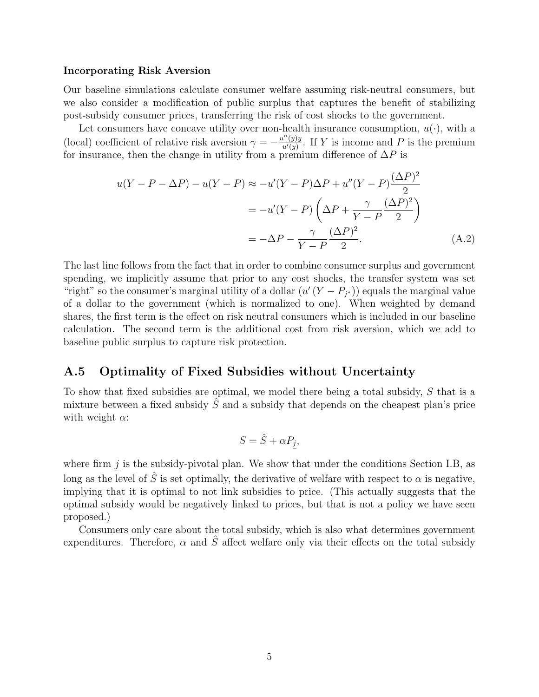#### Incorporating Risk Aversion

Our baseline simulations calculate consumer welfare assuming risk-neutral consumers, but we also consider a modification of public surplus that captures the benefit of stabilizing post-subsidy consumer prices, transferring the risk of cost shocks to the government.

Let consumers have concave utility over non-health insurance consumption,  $u(\cdot)$ , with a (local) coefficient of relative risk aversion  $\gamma = -\frac{u''(y)y}{u'(y)}$  $\frac{u^{\prime\prime}(y)y}{u^{\prime}(y)}$ . If Y is income and P is the premium for insurance, then the change in utility from a premium difference of  $\Delta P$  is

$$
u(Y - P - \Delta P) - u(Y - P) \approx -u'(Y - P)\Delta P + u''(Y - P)\frac{(\Delta P)^2}{2}
$$

$$
= -u'(Y - P)\left(\Delta P + \frac{\gamma}{Y - P}\frac{(\Delta P)^2}{2}\right)
$$

$$
= -\Delta P - \frac{\gamma}{Y - P}\frac{(\Delta P)^2}{2}.
$$
(A.2)

The last line follows from the fact that in order to combine consumer surplus and government spending, we implicitly assume that prior to any cost shocks, the transfer system was set "right" so the consumer's marginal utility of a dollar  $(u'(Y - P_{j^*}))$  equals the marginal value of a dollar to the government (which is normalized to one). When weighted by demand shares, the first term is the effect on risk neutral consumers which is included in our baseline calculation. The second term is the additional cost from risk aversion, which we add to baseline public surplus to capture risk protection.

# A.5 Optimality of Fixed Subsidies without Uncertainty

To show that fixed subsidies are optimal, we model there being a total subsidy, S that is a mixture between a fixed subsidy  $\tilde{S}$  and a subsidy that depends on the cheapest plan's price with weight  $\alpha$ :

<span id="page-4-0"></span>
$$
S = \hat{S} + \alpha P_j,
$$

where firm  $\underline{j}$  is the subsidy-pivotal plan. We show that under the conditions Section I.B, as long as the level of  $\tilde{S}$  is set optimally, the derivative of welfare with respect to  $\alpha$  is negative, implying that it is optimal to not link subsidies to price. (This actually suggests that the optimal subsidy would be negatively linked to prices, but that is not a policy we have seen proposed.)

Consumers only care about the total subsidy, which is also what determines government expenditures. Therefore,  $\alpha$  and  $\hat{S}$  affect welfare only via their effects on the total subsidy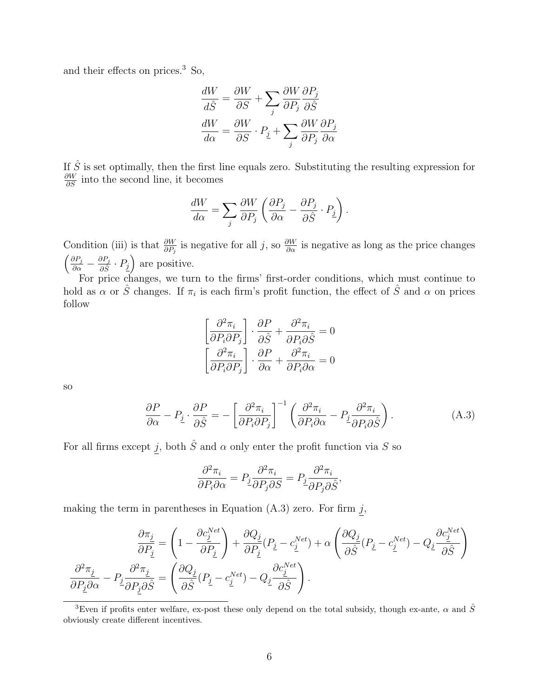and their effects on prices.[3](#page-0-0) So,

$$
\frac{dW}{d\hat{S}} = \frac{\partial W}{\partial S} + \sum_{j} \frac{\partial W}{\partial P_j} \frac{\partial P_j}{\partial \hat{S}}
$$

$$
\frac{dW}{d\alpha} = \frac{\partial W}{\partial S} \cdot P_{\underline{j}} + \sum_{j} \frac{\partial W}{\partial P_j} \frac{\partial P_j}{\partial \alpha}
$$

If  $\hat{S}$  is set optimally, then the first line equals zero. Substituting the resulting expression for  $\frac{\partial W}{\partial S}$  into the second line, it becomes

$$
\frac{dW}{d\alpha} = \sum_{j} \frac{\partial W}{\partial P_j} \left( \frac{\partial P_j}{\partial \alpha} - \frac{\partial P_j}{\partial \hat{S}} \cdot P_{\underline{j}} \right).
$$

Condition (iii) is that  $\frac{\partial W}{\partial P_j}$  is negative for all j, so  $\frac{\partial W}{\partial \alpha}$  is negative as long as the price changes  $\left(\frac{\partial P_j}{\partial \alpha} - \frac{\partial P_j}{\partial \hat{S}}\right)$  $\frac{\partial P_j}{\partial \hat{S}} \cdot P_j$  are positive.

For price changes, we turn to the firms' first-order conditions, which must continue to hold as  $\alpha$  or  $\hat{S}$  changes. If  $\pi_i$  is each firm's profit function, the effect of  $\hat{S}$  and  $\alpha$  on prices follow

<span id="page-5-0"></span>
$$
\left[\frac{\partial^2 \pi_i}{\partial P_i \partial P_j}\right] \cdot \frac{\partial P}{\partial \hat{S}} + \frac{\partial^2 \pi_i}{\partial P_i \partial \hat{S}} = 0
$$

$$
\left[\frac{\partial^2 \pi_i}{\partial P_i \partial P_j}\right] \cdot \frac{\partial P}{\partial \alpha} + \frac{\partial^2 \pi_i}{\partial P_i \partial \alpha} = 0
$$

so

$$
\frac{\partial P}{\partial \alpha} - P_{\underline{j}} \cdot \frac{\partial P}{\partial \hat{S}} = -\left[\frac{\partial^2 \pi_i}{\partial P_i \partial P_j}\right]^{-1} \left(\frac{\partial^2 \pi_i}{\partial P_i \partial \alpha} - P_{\underline{j}} \frac{\partial^2 \pi_i}{\partial P_i \partial \hat{S}}\right).
$$
(A.3)

For all firms except  $j$ , both  $\hat{S}$  and  $\alpha$  only enter the profit function via S so

$$
\frac{\partial^2 \pi_i}{\partial P_i \partial \alpha} = P_j \frac{\partial^2 \pi_i}{\partial P_j \partial S} = P_j \frac{\partial^2 \pi_i}{\partial P_j \partial \hat{S}},
$$

making the term in parentheses in Equation  $(A.3)$  zero. For firm j,

$$
\frac{\partial \pi_j}{\partial P_{\underline{j}}} = \left(1 - \frac{\partial c_j^{Net}}{\partial P_{\underline{j}}}\right) + \frac{\partial Q_{\underline{j}}}{\partial P_{\underline{j}}}(P_{\underline{j}} - c_j^{Net}) + \alpha \left(\frac{\partial Q_{\underline{j}}}{\partial \hat{S}}(P_{\underline{j}} - c_j^{Net}) - Q_{\underline{j}}\frac{\partial c_j^{Net}}{\partial \hat{S}}\right)
$$

$$
\frac{\partial^2 \pi_j}{\partial P_{\underline{j}}\partial \alpha} - P_{\underline{j}}\frac{\partial^2 \pi_j}{\partial P_{\underline{j}}\partial \hat{S}} = \left(\frac{\partial Q_{\underline{j}}}{\partial \hat{S}}(P_{\underline{j}} - c_j^{Net}) - Q_{\underline{j}}\frac{\partial c_j^{Net}}{\partial \hat{S}}\right).
$$

<sup>&</sup>lt;sup>3</sup>Even if profits enter welfare, ex-post these only depend on the total subsidy, though ex-ante,  $\alpha$  and  $\hat{S}$ obviously create different incentives.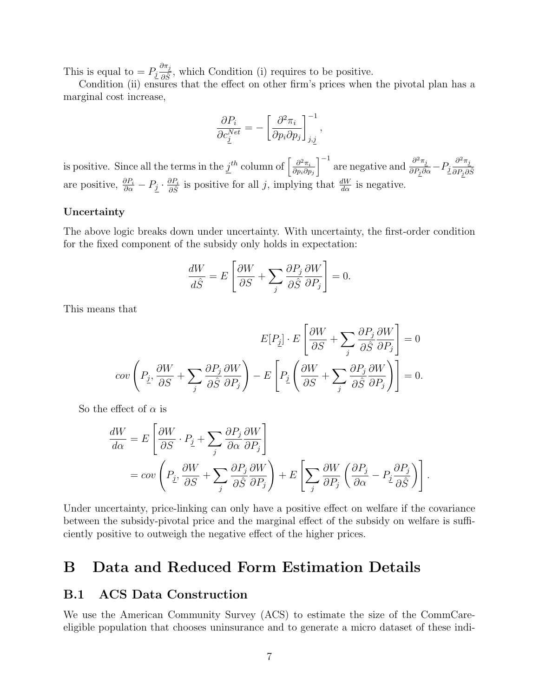This is equal to  $= P_j \frac{\partial \pi_j}{\partial \hat{S}}$  $\frac{\partial^{n_1}}{\partial \hat{S}}$ , which Condition (i) requires to be positive.

Condition (ii) ensures that the effect on other firm's prices when the pivotal plan has a marginal cost increase,

$$
\frac{\partial P_i}{\partial c_j^{Net}} = -\left[\frac{\partial^2 \pi_i}{\partial p_i \partial p_j}\right]_{j,j}^{-1},
$$

is positive. Since all the terms in the  $j^{th}$  column of  $\left[\frac{\partial^2 \pi_i}{\partial n \cdot \partial r}\right]$  $\partial p_i\partial p_j$  $\int^{-1}$  are negative and  $\frac{\partial^2 \pi_j}{\partial P_j \partial \alpha} - P_j \frac{\partial^2 \pi_j}{\partial P_i \partial \alpha}$  $\overline{\partial P_j \partial \hat{S}}$ are positive,  $\frac{\partial P_i}{\partial \alpha} - P_{\underline{j}} \cdot \frac{\partial P_i}{\partial \hat{S}}$  $\frac{\partial P_i}{\partial \hat{S}}$  is positive for all j, implying that  $\frac{dW}{d\alpha}$  is negative.

#### Uncertainty

The above logic breaks down under uncertainty. With uncertainty, the first-order condition for the fixed component of the subsidy only holds in expectation:

$$
\frac{dW}{d\hat{S}} = E\left[\frac{\partial W}{\partial S} + \sum_{j} \frac{\partial P_j}{\partial \hat{S}} \frac{\partial W}{\partial P_j}\right] = 0.
$$

This means that

$$
E[P_{\underline{j}}] \cdot E\left[\frac{\partial W}{\partial S} + \sum_{j} \frac{\partial P_{j}}{\partial \hat{S}} \frac{\partial W}{\partial P_{j}}\right] = 0
$$
  

$$
cov\left(P_{\underline{j}}, \frac{\partial W}{\partial S} + \sum_{j} \frac{\partial P_{j}}{\partial \hat{S}} \frac{\partial W}{\partial P_{j}}\right) - E\left[P_{\underline{j}}\left(\frac{\partial W}{\partial S} + \sum_{j} \frac{\partial P_{j}}{\partial \hat{S}} \frac{\partial W}{\partial P_{j}}\right)\right] = 0.
$$

So the effect of  $\alpha$  is

$$
\frac{dW}{d\alpha} = E\left[\frac{\partial W}{\partial S} \cdot P_{\underline{j}} + \sum_{j} \frac{\partial P_{j}}{\partial \alpha} \frac{\partial W}{\partial P_{j}}\right]
$$
  
=  $cov\left(P_{\underline{j}}, \frac{\partial W}{\partial S} + \sum_{j} \frac{\partial P_{j}}{\partial \hat{S}} \frac{\partial W}{\partial P_{j}}\right) + E\left[\sum_{j} \frac{\partial W}{\partial P_{j}} \left(\frac{\partial P_{j}}{\partial \alpha} - P_{\underline{j}} \frac{\partial P_{j}}{\partial \hat{S}}\right)\right].$ 

Under uncertainty, price-linking can only have a positive effect on welfare if the covariance between the subsidy-pivotal price and the marginal effect of the subsidy on welfare is sufficiently positive to outweigh the negative effect of the higher prices.

# B Data and Reduced Form Estimation Details

# B.1 ACS Data Construction

We use the American Community Survey (ACS) to estimate the size of the CommCareeligible population that chooses uninsurance and to generate a micro dataset of these indi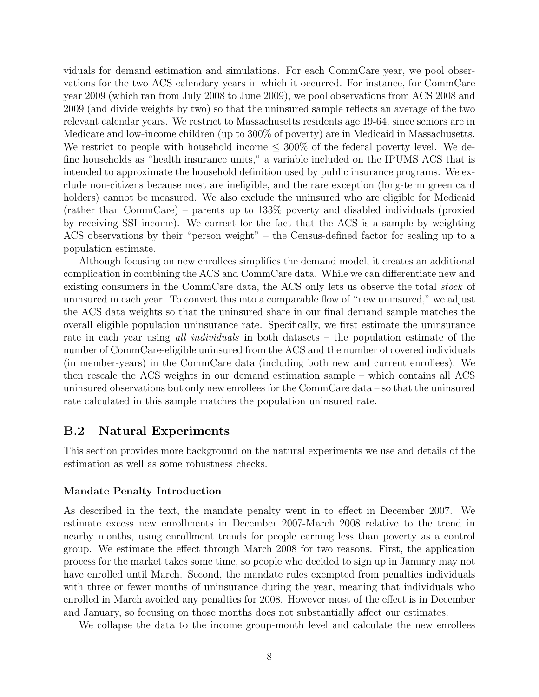viduals for demand estimation and simulations. For each CommCare year, we pool observations for the two ACS calendary years in which it occurred. For instance, for CommCare year 2009 (which ran from July 2008 to June 2009), we pool observations from ACS 2008 and 2009 (and divide weights by two) so that the uninsured sample reflects an average of the two relevant calendar years. We restrict to Massachusetts residents age 19-64, since seniors are in Medicare and low-income children (up to 300% of poverty) are in Medicaid in Massachusetts. We restrict to people with household income  $\leq 300\%$  of the federal poverty level. We define households as "health insurance units," a variable included on the IPUMS ACS that is intended to approximate the household definition used by public insurance programs. We exclude non-citizens because most are ineligible, and the rare exception (long-term green card holders) cannot be measured. We also exclude the uninsured who are eligible for Medicaid (rather than CommCare) – parents up to 133% poverty and disabled individuals (proxied by receiving SSI income). We correct for the fact that the ACS is a sample by weighting ACS observations by their "person weight" – the Census-defined factor for scaling up to a population estimate.

Although focusing on new enrollees simplifies the demand model, it creates an additional complication in combining the ACS and CommCare data. While we can differentiate new and existing consumers in the CommCare data, the ACS only lets us observe the total *stock* of uninsured in each year. To convert this into a comparable flow of "new uninsured," we adjust the ACS data weights so that the uninsured share in our final demand sample matches the overall eligible population uninsurance rate. Specifically, we first estimate the uninsurance rate in each year using all *individuals* in both datasets – the population estimate of the number of CommCare-eligible uninsured from the ACS and the number of covered individuals (in member-years) in the CommCare data (including both new and current enrollees). We then rescale the ACS weights in our demand estimation sample – which contains all ACS uninsured observations but only new enrollees for the CommCare data – so that the uninsured rate calculated in this sample matches the population uninsured rate.

# B.2 Natural Experiments

This section provides more background on the natural experiments we use and details of the estimation as well as some robustness checks.

#### Mandate Penalty Introduction

As described in the text, the mandate penalty went in to effect in December 2007. We estimate excess new enrollments in December 2007-March 2008 relative to the trend in nearby months, using enrollment trends for people earning less than poverty as a control group. We estimate the effect through March 2008 for two reasons. First, the application process for the market takes some time, so people who decided to sign up in January may not have enrolled until March. Second, the mandate rules exempted from penalties individuals with three or fewer months of uninsurance during the year, meaning that individuals who enrolled in March avoided any penalties for 2008. However most of the effect is in December and January, so focusing on those months does not substantially affect our estimates.

We collapse the data to the income group-month level and calculate the new enrollees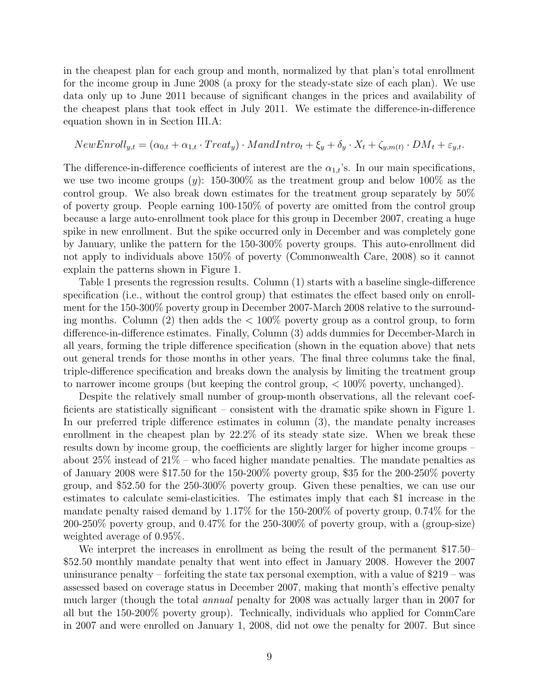in the cheapest plan for each group and month, normalized by that plan's total enrollment for the income group in June 2008 (a proxy for the steady-state size of each plan). We use data only up to June 2011 because of significant changes in the prices and availability of the cheapest plans that took effect in July 2011. We estimate the difference-in-difference equation shown in in Section III.A:

$$
NewEnroll_{y,t} = (\alpha_{0,t} + \alpha_{1,t} \cdot Treat_y) \cdot MandIntro_t + \xi_y + \delta_y \cdot X_t + \zeta_{y,m(t)} \cdot DM_t + \varepsilon_{y,t}.
$$

The difference-in-difference coefficients of interest are the  $\alpha_{1,t}$ 's. In our main specifications, we use two income groups  $(y)$ : 150-300% as the treatment group and below 100% as the control group. We also break down estimates for the treatment group separately by 50% of poverty group. People earning 100-150% of poverty are omitted from the control group because a large auto-enrollment took place for this group in December 2007, creating a huge spike in new enrollment. But the spike occurred only in December and was completely gone by January, unlike the pattern for the 150-300% poverty groups. This auto-enrollment did not apply to individuals above 150% of poverty [\(Commonwealth Care,](#page-31-0) [2008\)](#page-31-0) so it cannot explain the patterns shown in Figure 1.

Table [1](#page-9-0) presents the regression results. Column (1) starts with a baseline single-difference specification (i.e., without the control group) that estimates the effect based only on enrollment for the 150-300% poverty group in December 2007-March 2008 relative to the surrounding months. Column (2) then adds the  $\lt 100\%$  poverty group as a control group, to form difference-in-difference estimates. Finally, Column (3) adds dummies for December-March in all years, forming the triple difference specification (shown in the equation above) that nets out general trends for those months in other years. The final three columns take the final, triple-difference specification and breaks down the analysis by limiting the treatment group to narrower income groups (but keeping the control group, < 100% poverty, unchanged).

Despite the relatively small number of group-month observations, all the relevant coefficients are statistically significant – consistent with the dramatic spike shown in Figure 1. In our preferred triple difference estimates in column (3), the mandate penalty increases enrollment in the cheapest plan by  $22.2\%$  of its steady state size. When we break these results down by income group, the coefficients are slightly larger for higher income groups – about  $25\%$  instead of  $21\%$  – who faced higher mandate penalties. The mandate penalties as of January 2008 were \$17.50 for the 150-200% poverty group, \$35 for the 200-250% poverty group, and \$52.50 for the 250-300% poverty group. Given these penalties, we can use our estimates to calculate semi-elasticities. The estimates imply that each \$1 increase in the mandate penalty raised demand by 1.17% for the 150-200% of poverty group, 0.74% for the 200-250% poverty group, and 0.47% for the 250-300% of poverty group, with a (group-size) weighted average of 0.95%.

We interpret the increases in enrollment as being the result of the permanent \$17.50– \$52.50 monthly mandate penalty that went into effect in January 2008. However the 2007 uninsurance penalty – forfeiting the state tax personal exemption, with a value of  $$219 - was$ assessed based on coverage status in December 2007, making that month's effective penalty much larger (though the total annual penalty for 2008 was actually larger than in 2007 for all but the 150-200% poverty group). Technically, individuals who applied for CommCare in 2007 and were enrolled on January 1, 2008, did not owe the penalty for 2007. But since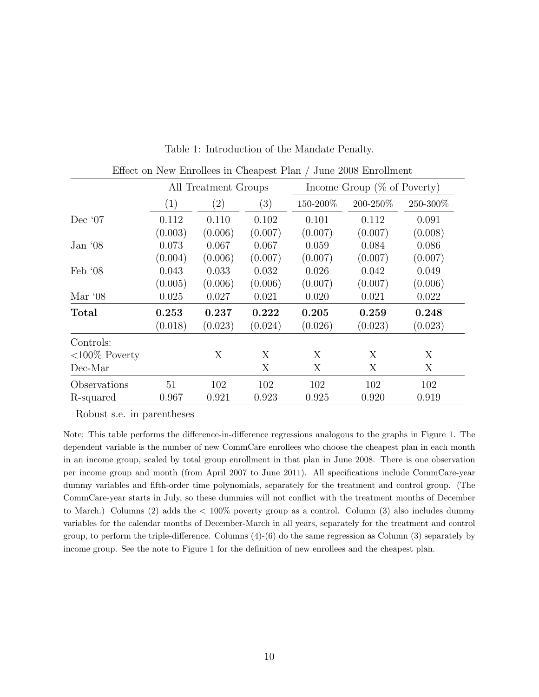<span id="page-9-0"></span>

| Effect on New Enrollees in Cheapest Plan / June 2008 Enrollment |         |                      |         |          |                                |          |  |
|-----------------------------------------------------------------|---------|----------------------|---------|----------|--------------------------------|----------|--|
|                                                                 |         | All Treatment Groups |         |          | Income Group $(\%$ of Poverty) |          |  |
|                                                                 | (1)     | $\left( 2\right)$    | (3)     | 150-200% | 200-250%                       | 250-300% |  |
| Dec $07$                                                        | 0.112   | 0.110                | 0.102   | 0.101    | 0.112                          | 0.091    |  |
|                                                                 | (0.003) | (0.006)              | (0.007) | (0.007)  | (0.007)                        | (0.008)  |  |
| Jan $08$                                                        | 0.073   | 0.067                | 0.067   | 0.059    | 0.084                          | 0.086    |  |
|                                                                 | (0.004) | (0.006)              | (0.007) | (0.007)  | (0.007)                        | (0.007)  |  |
| Feb $08$                                                        | 0.043   | 0.033                | 0.032   | 0.026    | 0.042                          | 0.049    |  |
|                                                                 | (0.005) | (0.006)              | (0.006) | (0.007)  | (0.007)                        | (0.006)  |  |
| Mar $08$                                                        | 0.025   | 0.027                | 0.021   | 0.020    | 0.021                          | 0.022    |  |
| Total                                                           | 0.253   | 0.237                | 0.222   | 0.205    | 0.259                          | 0.248    |  |
|                                                                 | (0.018) | (0.023)              | (0.024) | (0.026)  | (0.023)                        | (0.023)  |  |
| Controls:                                                       |         |                      |         |          |                                |          |  |
| $<100\%$ Poverty                                                |         | X                    | X       | X        | X                              | X        |  |
| $Dec$ -Mar                                                      |         |                      | X       | X        | X                              | X        |  |
| Observations                                                    | 51      | 102                  | 102     | 102      | 102                            | 102      |  |
| R-squared                                                       | 0.967   | 0.921                | 0.923   | 0.925    | 0.920                          | 0.919    |  |

Table 1: Introduction of the Mandate Penalty.

Robust s.e. in parentheses

Note: This table performs the difference-in-difference regressions analogous to the graphs in Figure 1. The dependent variable is the number of new CommCare enrollees who choose the cheapest plan in each month in an income group, scaled by total group enrollment in that plan in June 2008. There is one observation per income group and month (from April 2007 to June 2011). All specifications include CommCare-year dummy variables and fifth-order time polynomials, separately for the treatment and control group. (The CommCare-year starts in July, so these dummies will not conflict with the treatment months of December to March.) Columns (2) adds the < 100% poverty group as a control. Column (3) also includes dummy variables for the calendar months of December-March in all years, separately for the treatment and control group, to perform the triple-difference. Columns  $(4)-(6)$  do the same regression as Column  $(3)$  separately by income group. See the note to Figure 1 for the definition of new enrollees and the cheapest plan.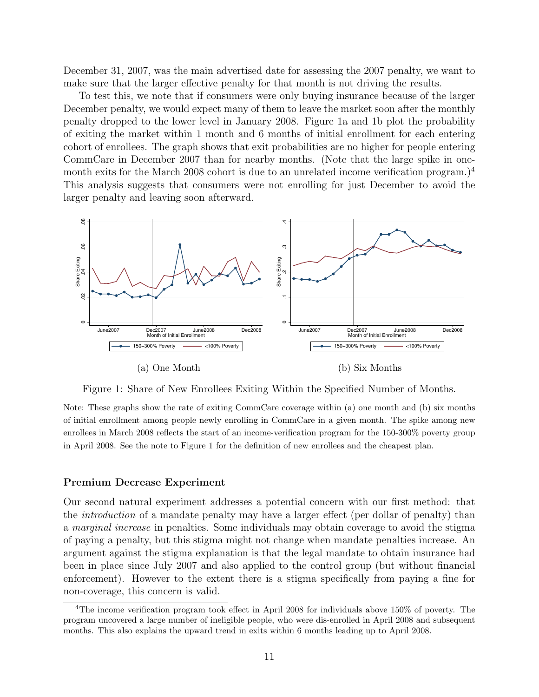December 31, 2007, was the main advertised date for assessing the 2007 penalty, we want to make sure that the larger effective penalty for that month is not driving the results.

To test this, we note that if consumers were only buying insurance because of the larger December penalty, we would expect many of them to leave the market soon after the monthly penalty dropped to the lower level in January 2008. Figure [1a](#page-10-0) and [1b](#page-10-0) plot the probability of exiting the market within 1 month and 6 months of initial enrollment for each entering cohort of enrollees. The graph shows that exit probabilities are no higher for people entering CommCare in December 2007 than for nearby months. (Note that the large spike in one-month exits for the March 2008 cohort is due to an unrelated income verification program.)<sup>[4](#page-0-0)</sup> This analysis suggests that consumers were not enrolling for just December to avoid the larger penalty and leaving soon afterward.

<span id="page-10-0"></span>

Figure 1: Share of New Enrollees Exiting Within the Specified Number of Months.

Note: These graphs show the rate of exiting CommCare coverage within (a) one month and (b) six months of initial enrollment among people newly enrolling in CommCare in a given month. The spike among new enrollees in March 2008 reflects the start of an income-verification program for the 150-300% poverty group in April 2008. See the note to Figure 1 for the definition of new enrollees and the cheapest plan.

#### Premium Decrease Experiment

Our second natural experiment addresses a potential concern with our first method: that the introduction of a mandate penalty may have a larger effect (per dollar of penalty) than a marginal increase in penalties. Some individuals may obtain coverage to avoid the stigma of paying a penalty, but this stigma might not change when mandate penalties increase. An argument against the stigma explanation is that the legal mandate to obtain insurance had been in place since July 2007 and also applied to the control group (but without financial enforcement). However to the extent there is a stigma specifically from paying a fine for non-coverage, this concern is valid.

<sup>4</sup>The income verification program took effect in April 2008 for individuals above 150% of poverty. The program uncovered a large number of ineligible people, who were dis-enrolled in April 2008 and subsequent months. This also explains the upward trend in exits within 6 months leading up to April 2008.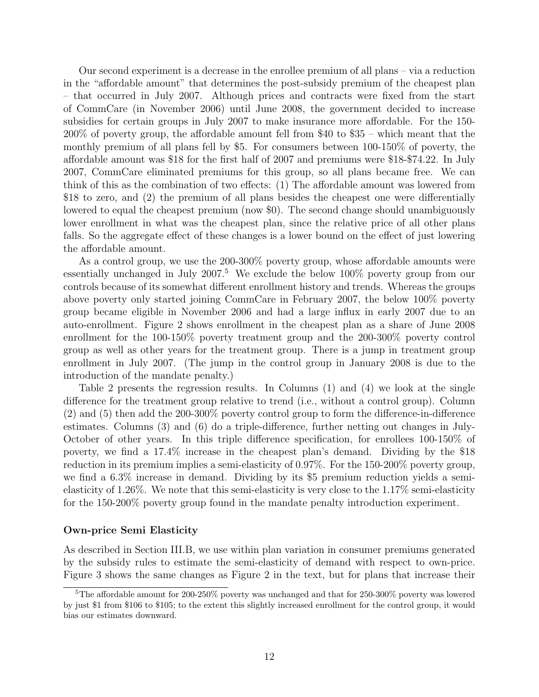Our second experiment is a decrease in the enrollee premium of all plans – via a reduction in the "affordable amount" that determines the post-subsidy premium of the cheapest plan – that occurred in July 2007. Although prices and contracts were fixed from the start of CommCare (in November 2006) until June 2008, the government decided to increase subsidies for certain groups in July 2007 to make insurance more affordable. For the 150- 200% of poverty group, the affordable amount fell from \$40 to \$35 – which meant that the monthly premium of all plans fell by \$5. For consumers between 100-150% of poverty, the affordable amount was \$18 for the first half of 2007 and premiums were \$18-\$74.22. In July 2007, CommCare eliminated premiums for this group, so all plans became free. We can think of this as the combination of two effects: (1) The affordable amount was lowered from \$18 to zero, and (2) the premium of all plans besides the cheapest one were differentially lowered to equal the cheapest premium (now \$0). The second change should unambiguously lower enrollment in what was the cheapest plan, since the relative price of all other plans falls. So the aggregate effect of these changes is a lower bound on the effect of just lowering the affordable amount.

As a control group, we use the 200-300% poverty group, whose affordable amounts were essentially unchanged in July  $2007<sup>5</sup>$  $2007<sup>5</sup>$  $2007<sup>5</sup>$  We exclude the below  $100\%$  poverty group from our controls because of its somewhat different enrollment history and trends. Whereas the groups above poverty only started joining CommCare in February 2007, the below 100% poverty group became eligible in November 2006 and had a large influx in early 2007 due to an auto-enrollment. Figure [2](#page-13-0) shows enrollment in the cheapest plan as a share of June 2008 enrollment for the 100-150% poverty treatment group and the 200-300% poverty control group as well as other years for the treatment group. There is a jump in treatment group enrollment in July 2007. (The jump in the control group in January 2008 is due to the introduction of the mandate penalty.)

Table [2](#page-12-0) presents the regression results. In Columns (1) and (4) we look at the single difference for the treatment group relative to trend (i.e., without a control group). Column (2) and (5) then add the 200-300% poverty control group to form the difference-in-difference estimates. Columns (3) and (6) do a triple-difference, further netting out changes in July-October of other years. In this triple difference specification, for enrollees 100-150% of poverty, we find a 17.4% increase in the cheapest plan's demand. Dividing by the \$18 reduction in its premium implies a semi-elasticity of 0.97%. For the 150-200% poverty group, we find a 6.3% increase in demand. Dividing by its \$5 premium reduction yields a semielasticity of 1.26%. We note that this semi-elasticity is very close to the 1.17% semi-elasticity for the 150-200% poverty group found in the mandate penalty introduction experiment.

#### Own-price Semi Elasticity

As described in Section III.B, we use within plan variation in consumer premiums generated by the subsidy rules to estimate the semi-elasticity of demand with respect to own-price. Figure [3](#page-14-0) shows the same changes as Figure 2 in the text, but for plans that increase their

<sup>5</sup>The affordable amount for 200-250% poverty was unchanged and that for 250-300% poverty was lowered by just \$1 from \$106 to \$105; to the extent this slightly increased enrollment for the control group, it would bias our estimates downward.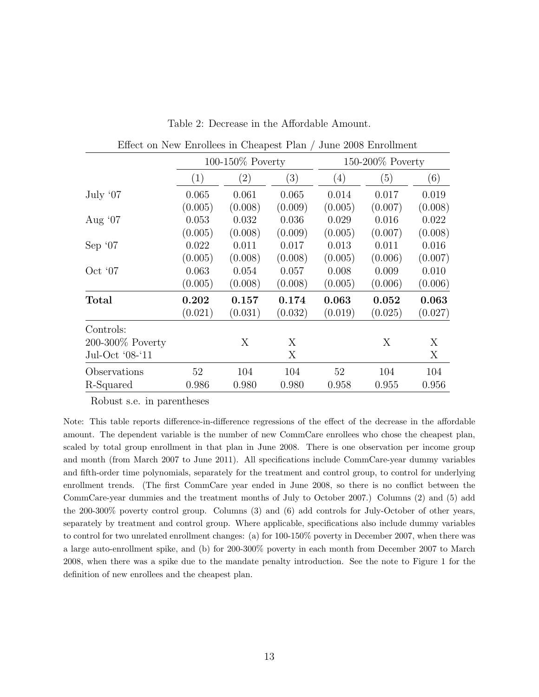<span id="page-12-0"></span>

| Effect on New Enrollees in Cheapest Plan / June 2008 Enrollment |                   |                     |         |         |                     |         |  |
|-----------------------------------------------------------------|-------------------|---------------------|---------|---------|---------------------|---------|--|
|                                                                 |                   | $100-150\%$ Poverty |         |         | $150-200\%$ Poverty |         |  |
|                                                                 | $\left( 1\right)$ | $\left( 2\right)$   | (3)     | (4)     | (5)                 | (6)     |  |
| July '07                                                        | 0.065             | 0.061               | 0.065   | 0.014   | 0.017               | 0.019   |  |
|                                                                 | (0.005)           | (0.008)             | (0.009) | (0.005) | (0.007)             | (0.008) |  |
| Aug $07$                                                        | 0.053             | 0.032               | 0.036   | 0.029   | 0.016               | 0.022   |  |
|                                                                 | (0.005)           | (0.008)             | (0.009) | (0.005) | (0.007)             | (0.008) |  |
| Sep $07$                                                        | 0.022             | 0.011               | 0.017   | 0.013   | 0.011               | 0.016   |  |
|                                                                 | (0.005)           | (0.008)             | (0.008) | (0.005) | (0.006)             | (0.007) |  |
| Oct $07$                                                        | 0.063             | 0.054               | 0.057   | 0.008   | 0.009               | 0.010   |  |
|                                                                 | (0.005)           | (0.008)             | (0.008) | (0.005) | (0.006)             | (0.006) |  |
| <b>Total</b>                                                    | 0.202             | 0.157               | 0.174   | 0.063   | 0.052               | 0.063   |  |
|                                                                 | (0.021)           | (0.031)             | (0.032) | (0.019) | (0.025)             | (0.027) |  |
| Controls:                                                       |                   |                     |         |         |                     |         |  |
| $200-300\%$ Poverty                                             |                   | X                   | X       |         | X                   | X       |  |
| Jul-Oct '08-'11                                                 |                   |                     | X       |         |                     | X       |  |
| Observations                                                    | 52                | 104                 | 104     | 52      | 104                 | 104     |  |
| R-Squared                                                       | 0.986             | 0.980               | 0.980   | 0.958   | 0.955               | 0.956   |  |

Table 2: Decrease in the Affordable Amount.

Robust s.e. in parentheses

Note: This table reports difference-in-difference regressions of the effect of the decrease in the affordable amount. The dependent variable is the number of new CommCare enrollees who chose the cheapest plan, scaled by total group enrollment in that plan in June 2008. There is one observation per income group and month (from March 2007 to June 2011). All specifications include CommCare-year dummy variables and fifth-order time polynomials, separately for the treatment and control group, to control for underlying enrollment trends. (The first CommCare year ended in June 2008, so there is no conflict between the CommCare-year dummies and the treatment months of July to October 2007.) Columns (2) and (5) add the 200-300% poverty control group. Columns (3) and (6) add controls for July-October of other years, separately by treatment and control group. Where applicable, specifications also include dummy variables to control for two unrelated enrollment changes: (a) for 100-150% poverty in December 2007, when there was a large auto-enrollment spike, and (b) for 200-300% poverty in each month from December 2007 to March 2008, when there was a spike due to the mandate penalty introduction. See the note to Figure 1 for the definition of new enrollees and the cheapest plan.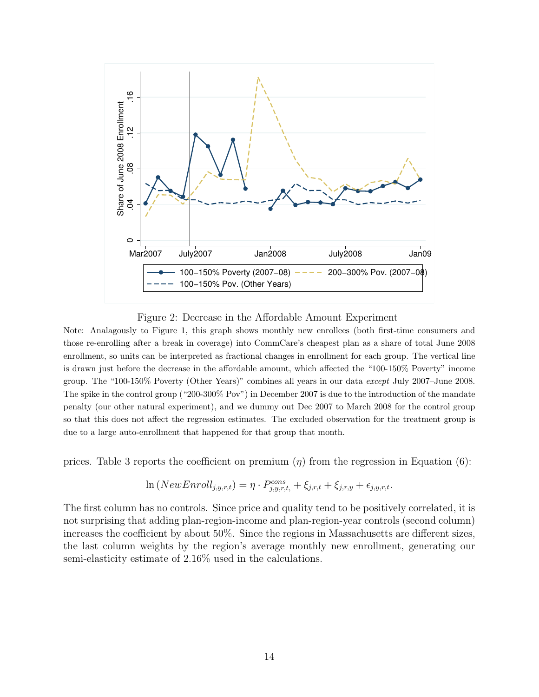<span id="page-13-0"></span>

Figure 2: Decrease in the Affordable Amount Experiment

Note: Analagously to Figure 1, this graph shows monthly new enrollees (both first-time consumers and those re-enrolling after a break in coverage) into CommCare's cheapest plan as a share of total June 2008 enrollment, so units can be interpreted as fractional changes in enrollment for each group. The vertical line is drawn just before the decrease in the affordable amount, which affected the "100-150% Poverty" income group. The "100-150% Poverty (Other Years)" combines all years in our data except July 2007–June 2008. The spike in the control group ("200-300% Pov") in December 2007 is due to the introduction of the mandate penalty (our other natural experiment), and we dummy out Dec 2007 to March 2008 for the control group so that this does not affect the regression estimates. The excluded observation for the treatment group is due to a large auto-enrollment that happened for that group that month.

prices. Table [3](#page-15-0) reports the coefficient on premium  $(\eta)$  from the regression in Equation (6):

$$
\ln(NewEnroll_{j,y,r,t}) = \eta \cdot P_{j,y,r,t}^{cons} + \xi_{j,r,t} + \xi_{j,r,y} + \epsilon_{j,y,r,t}.
$$

The first column has no controls. Since price and quality tend to be positively correlated, it is not surprising that adding plan-region-income and plan-region-year controls (second column) increases the coefficient by about 50%. Since the regions in Massachusetts are different sizes, the last column weights by the region's average monthly new enrollment, generating our semi-elasticity estimate of 2.16% used in the calculations.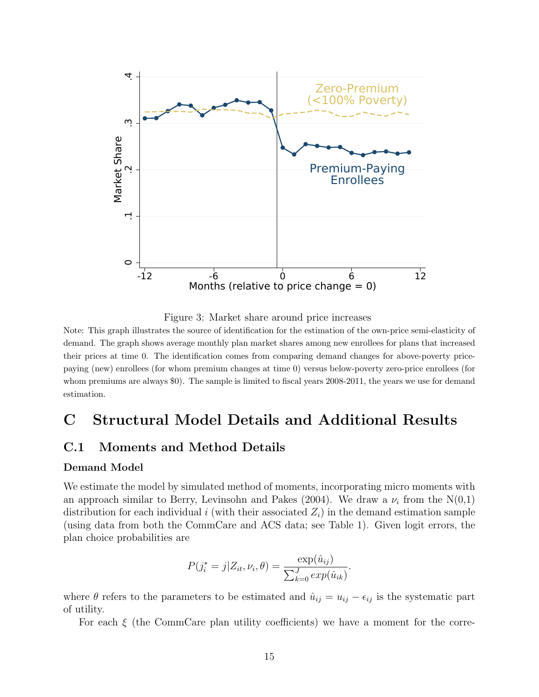<span id="page-14-0"></span>

Figure 3: Market share around price increases

Note: This graph illustrates the source of identification for the estimation of the own-price semi-elasticity of demand. The graph shows average monthly plan market shares among new enrollees for plans that increased their prices at time 0. The identification comes from comparing demand changes for above-poverty pricepaying (new) enrollees (for whom premium changes at time 0) versus below-poverty zero-price enrollees (for whom premiums are always \$0). The sample is limited to fiscal years 2008-2011, the years we use for demand estimation.

# C Structural Model Details and Additional Results

# C.1 Moments and Method Details

#### Demand Model

We estimate the model by simulated method of moments, incorporating micro moments with an approach similar to [Berry, Levinsohn and Pakes](#page-31-1) [\(2004\)](#page-31-1). We draw a  $\nu_i$  from the N(0,1) distribution for each individual i (with their associated  $Z_i$ ) in the demand estimation sample (using data from both the CommCare and ACS data; see Table 1). Given logit errors, the plan choice probabilities are

$$
P(j_i^* = j | Z_{it}, \nu_i, \theta) = \frac{\exp(\hat{u}_{ij})}{\sum_{k=0}^{J} \exp(\hat{u}_{ik})}.
$$

where  $\theta$  refers to the parameters to be estimated and  $\hat{u}_{ij} = u_{ij} - \epsilon_{ij}$  is the systematic part of utility.

For each  $\xi$  (the CommCare plan utility coefficients) we have a moment for the corre-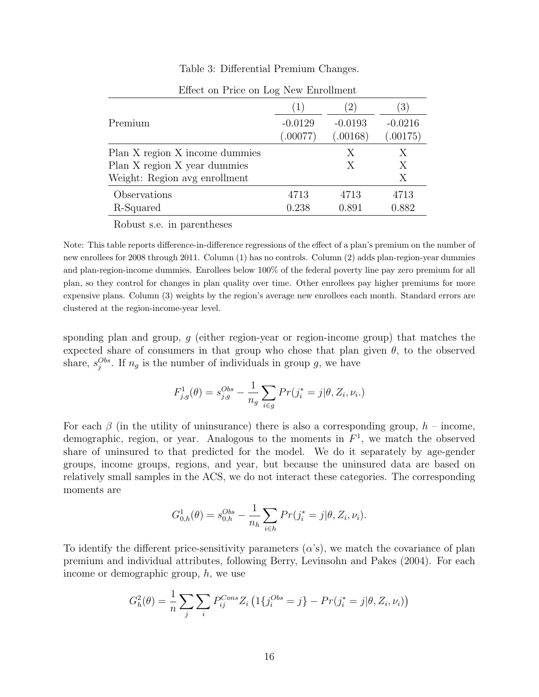#### Table 3: Differential Premium Changes.

<span id="page-15-0"></span>

|                                | (1)       |           | $\left(3\right)$ |
|--------------------------------|-----------|-----------|------------------|
| Premium                        | $-0.0129$ | $-0.0193$ | $-0.0216$        |
|                                | (.00077)  | (.00168)  | (.00175)         |
| Plan X region X income dummies |           | Х         | X                |
| Plan X region X year dummies   |           | X         | Х                |
| Weight: Region avg enrollment  |           |           | X                |
| Observations                   | 4713      | 4713      | 4713             |
| R-Squared                      | 0.238     | 0.891     | 0.882            |

Effect on Price on Log New Enrollment

Robust s.e. in parentheses

Note: This table reports difference-in-difference regressions of the effect of a plan's premium on the number of new enrollees for 2008 through 2011. Column (1) has no controls. Column (2) adds plan-region-year dummies and plan-region-income dummies. Enrollees below 100% of the federal poverty line pay zero premium for all plan, so they control for changes in plan quality over time. Other enrollees pay higher premiums for more expensive plans. Column (3) weights by the region's average new enrollees each month. Standard errors are clustered at the region-income-year level.

sponding plan and group, g (either region-year or region-income group) that matches the expected share of consumers in that group who chose that plan given  $\theta$ , to the observed share,  $s_j^{Obs}$ . If  $n_g$  is the number of individuals in group g, we have

$$
F_{j,g}^1(\theta) = s_{j,g}^{Obs} - \frac{1}{n_g} \sum_{i \in g} Pr(j_i^* = j | \theta, Z_i, \nu_i.)
$$

For each  $\beta$  (in the utility of uninsurance) there is also a corresponding group,  $h$  – income, demographic, region, or year. Analogous to the moments in  $F<sup>1</sup>$ , we match the observed share of uninsured to that predicted for the model. We do it separately by age-gender groups, income groups, regions, and year, but because the uninsured data are based on relatively small samples in the ACS, we do not interact these categories. The corresponding moments are

$$
G_{0,h}^1(\theta) = s_{0,h}^{Obs} - \frac{1}{n_h} \sum_{i \in h} Pr(j_i^* = j | \theta, Z_i, \nu_i).
$$

To identify the different price-sensitivity parameters  $(\alpha's)$ , we match the covariance of plan premium and individual attributes, following [Berry, Levinsohn and Pakes](#page-31-1) [\(2004\)](#page-31-1). For each income or demographic group, h, we use

$$
G_h^2(\theta) = \frac{1}{n} \sum_j \sum_i P_{ij}^{Cons} Z_i \left( 1\{ j_i^{Obs} = j \} - Pr(j_i^* = j | \theta, Z_i, \nu_i) \right)
$$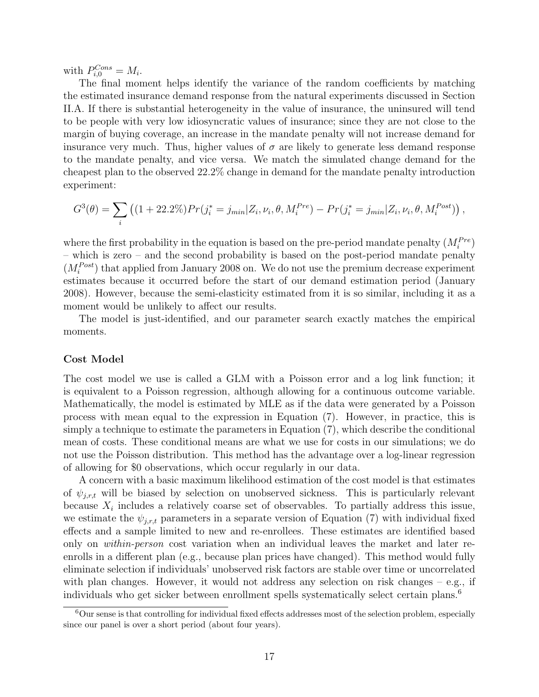with  $P_{i,0}^{Cons} = M_i$ .

The final moment helps identify the variance of the random coefficients by matching the estimated insurance demand response from the natural experiments discussed in Section II.A. If there is substantial heterogeneity in the value of insurance, the uninsured will tend to be people with very low idiosyncratic values of insurance; since they are not close to the margin of buying coverage, an increase in the mandate penalty will not increase demand for insurance very much. Thus, higher values of  $\sigma$  are likely to generate less demand response to the mandate penalty, and vice versa. We match the simulated change demand for the cheapest plan to the observed 22.2% change in demand for the mandate penalty introduction experiment:

$$
G^{3}(\theta) = \sum_{i} \left( (1 + 22.2\%) Pr(j_{i}^{*} = j_{min} | Z_{i}, \nu_{i}, \theta, M_{i}^{Pre}) - Pr(j_{i}^{*} = j_{min} | Z_{i}, \nu_{i}, \theta, M_{i}^{Post}) \right),
$$

where the first probability in the equation is based on the pre-period mandate penalty  $(M_i^{Pre})$ – which is zero – and the second probability is based on the post-period mandate penalty  $(M_i^{Post})$  that applied from January 2008 on. We do not use the premium decrease experiment estimates because it occurred before the start of our demand estimation period (January 2008). However, because the semi-elasticity estimated from it is so similar, including it as a moment would be unlikely to affect our results.

The model is just-identified, and our parameter search exactly matches the empirical moments.

#### Cost Model

The cost model we use is called a GLM with a Poisson error and a log link function; it is equivalent to a Poisson regression, although allowing for a continuous outcome variable. Mathematically, the model is estimated by MLE as if the data were generated by a Poisson process with mean equal to the expression in Equation (7). However, in practice, this is simply a technique to estimate the parameters in Equation (7), which describe the conditional mean of costs. These conditional means are what we use for costs in our simulations; we do not use the Poisson distribution. This method has the advantage over a log-linear regression of allowing for \$0 observations, which occur regularly in our data.

A concern with a basic maximum likelihood estimation of the cost model is that estimates of  $\psi_{i,r,t}$  will be biased by selection on unobserved sickness. This is particularly relevant because  $X_i$  includes a relatively coarse set of observables. To partially address this issue, we estimate the  $\psi_{j,r,t}$  parameters in a separate version of Equation (7) with individual fixed effects and a sample limited to new and re-enrollees. These estimates are identified based only on within-person cost variation when an individual leaves the market and later reenrolls in a different plan (e.g., because plan prices have changed). This method would fully eliminate selection if individuals' unobserved risk factors are stable over time or uncorrelated with plan changes. However, it would not address any selection on risk changes – e.g., if individuals who get sicker between enrollment spells systematically select certain plans.[6](#page-0-0)

<sup>6</sup>Our sense is that controlling for individual fixed effects addresses most of the selection problem, especially since our panel is over a short period (about four years).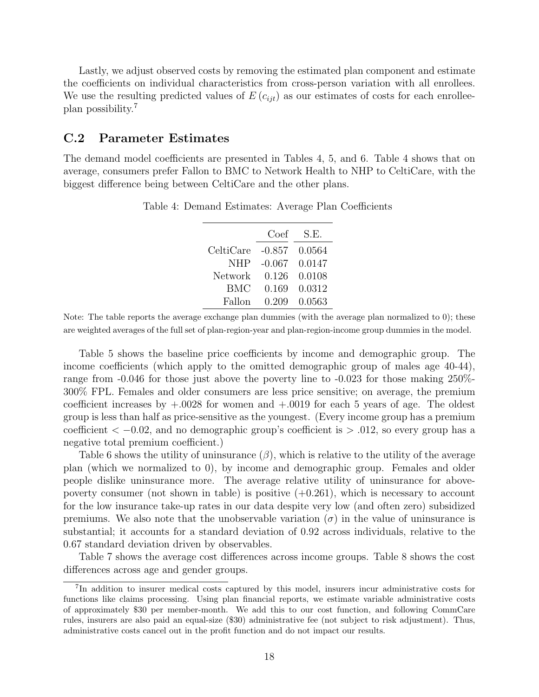Lastly, we adjust observed costs by removing the estimated plan component and estimate the coefficients on individual characteristics from cross-person variation with all enrollees. We use the resulting predicted values of  $E(c_{ijt})$  as our estimates of costs for each enrolleeplan possibility.[7](#page-0-0)

### C.2 Parameter Estimates

<span id="page-17-0"></span>The demand model coefficients are presented in Tables [4,](#page-17-0) [5,](#page-18-0) and [6.](#page-18-1) Table [4](#page-17-0) shows that on average, consumers prefer Fallon to BMC to Network Health to NHP to CeltiCare, with the biggest difference being between CeltiCare and the other plans.

|            | Coef     | S.E.   |
|------------|----------|--------|
| CeltiCare  | $-0.857$ | 0.0564 |
| <b>NHP</b> | $-0.067$ | 0.0147 |
| Network    | 0.126    | 0.0108 |
| BMC        | 0.169    | 0.0312 |
| Fallon     | 0.209    | 0.0563 |

Table 4: Demand Estimates: Average Plan Coefficients

Note: The table reports the average exchange plan dummies (with the average plan normalized to 0); these are weighted averages of the full set of plan-region-year and plan-region-income group dummies in the model.

Table [5](#page-18-0) shows the baseline price coefficients by income and demographic group. The income coefficients (which apply to the omitted demographic group of males age 40-44), range from -0.046 for those just above the poverty line to -0.023 for those making 250%- 300% FPL. Females and older consumers are less price sensitive; on average, the premium coefficient increases by  $+0.0028$  for women and  $+0.0019$  for each 5 years of age. The oldest group is less than half as price-sensitive as the youngest. (Every income group has a premium coefficient  $<-0.02$ , and no demographic group's coefficient is  $> .012$ , so every group has a negative total premium coefficient.)

Table [6](#page-18-1) shows the utility of uninsurance  $(\beta)$ , which is relative to the utility of the average plan (which we normalized to 0), by income and demographic group. Females and older people dislike uninsurance more. The average relative utility of uninsurance for abovepoverty consumer (not shown in table) is positive  $(+0.261)$ , which is necessary to account for the low insurance take-up rates in our data despite very low (and often zero) subsidized premiums. We also note that the unobservable variation  $(\sigma)$  in the value of uninsurance is substantial; it accounts for a standard deviation of 0.92 across individuals, relative to the 0.67 standard deviation driven by observables.

Table [7](#page-19-0) shows the average cost differences across income groups. Table [8](#page-19-1) shows the cost differences across age and gender groups.

<sup>7</sup> In addition to insurer medical costs captured by this model, insurers incur administrative costs for functions like claims processing. Using plan financial reports, we estimate variable administrative costs of approximately \$30 per member-month. We add this to our cost function, and following CommCare rules, insurers are also paid an equal-size (\$30) administrative fee (not subject to risk adjustment). Thus, administrative costs cancel out in the profit function and do not impact our results.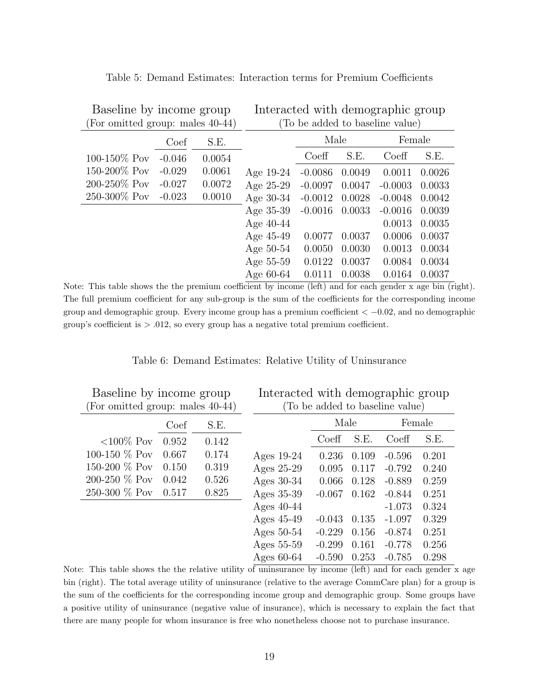| For omitted group: males 40-44) |          |        | (To be added to baseline value) |           |        |           |        |
|---------------------------------|----------|--------|---------------------------------|-----------|--------|-----------|--------|
|                                 | Coef     | S.E.   |                                 | Male      |        | Female    |        |
| 100-150\% Pov                   | $-0.046$ | 0.0054 |                                 | Coeff     | S.E.   | Coeff     | S.E.   |
| 150-200\% Pov                   | $-0.029$ | 0.0061 | Age $19-24$                     | $-0.0086$ | 0.0049 | 0.0011    | 0.0026 |
| 200-250\% Pov                   | $-0.027$ | 0.0072 | Age $25-29$                     | $-0.0097$ | 0.0047 | $-0.0003$ | 0.0033 |
| 250-300% Pov                    | $-0.023$ | 0.0010 | Age $30-34$                     | $-0.0012$ | 0.0028 | $-0.0048$ | 0.0042 |
|                                 |          |        | Age 35-39                       | $-0.0016$ | 0.0033 | $-0.0016$ | 0.0039 |
|                                 |          |        | Age $40-44$                     |           |        | 0.0013    | 0.0035 |
|                                 |          |        | Age 45-49                       | 0.0077    | 0.0037 | 0.0006    | 0.0037 |
|                                 |          |        | Age $50-54$                     | 0.0050    | 0.0030 | 0.0013    | 0.0034 |
|                                 |          |        | Age 55-59                       | 0.0122    | 0.0037 | 0.0084    | 0.0034 |
|                                 |          |        | Age $60-64$                     | 0.0111    | 0.0038 | 0.0164    | 0.0037 |

<span id="page-18-0"></span>Table 5: Demand Estimates: Interaction terms for Premium Coefficients

Interacted with demographic group

Baseline by income group

Note: This table shows the the premium coefficient by income (left) and for each gender x age bin (right). The full premium coefficient for any sub-group is the sum of the coefficients for the corresponding income group and demographic group. Every income group has a premium coefficient  $<-0.02$ , and no demographic group's coefficient is  $> 0.012$ , so every group has a negative total premium coefficient.

Table 6: Demand Estimates: Relative Utility of Uninsurance

<span id="page-18-1"></span>

| Baseline by income group         |       | Interacted with demographic group |              |          |       |          |        |
|----------------------------------|-------|-----------------------------------|--------------|----------|-------|----------|--------|
| (For omitted group: males 40-44) |       | (To be added to baseline value)   |              |          |       |          |        |
|                                  | Coef  | S.E.                              |              | Male     |       |          | Female |
| $< 100\%$ Pov                    | 0.952 | 0.142                             |              | Coeff    | S.E.  | Coeff    | S.E.   |
| 100-150 % Pov                    | 0.667 | 0.174                             | Ages $19-24$ | 0.236    | 0.109 | $-0.596$ | 0.201  |
| 150-200 % Pov                    | 0.150 | 0.319                             | Ages 25-29   | 0.095    | 0.117 | $-0.792$ | 0.240  |
| 200-250 % Pov                    | 0.042 | 0.526                             | Ages $30-34$ | 0.066    | 0.128 | $-0.889$ | 0.259  |
| 250-300 % Pov                    | 0.517 | 0.825                             | Ages 35-39   | $-0.067$ | 0.162 | $-0.844$ | 0.251  |
|                                  |       |                                   | Ages $40-44$ |          |       | $-1.073$ | 0.324  |
|                                  |       |                                   | Ages $45-49$ | $-0.043$ | 0.135 | $-1.097$ | 0.329  |
|                                  |       |                                   | Ages $50-54$ | $-0.229$ | 0.156 | $-0.874$ | 0.251  |
|                                  |       |                                   | Ages 55-59   | $-0.299$ | 0.161 | $-0.778$ | 0.256  |
|                                  |       |                                   | Ages $60-64$ | $-0.590$ | 0.253 | $-0.785$ | 0.298  |

Note: This table shows the the relative utility of uninsurance by income (left) and for each gender  $\bar{x}$  age bin (right). The total average utility of uninsurance (relative to the average CommCare plan) for a group is the sum of the coefficients for the corresponding income group and demographic group. Some groups have a positive utility of uninsurance (negative value of insurance), which is necessary to explain the fact that there are many people for whom insurance is free who nonetheless choose not to purchase insurance.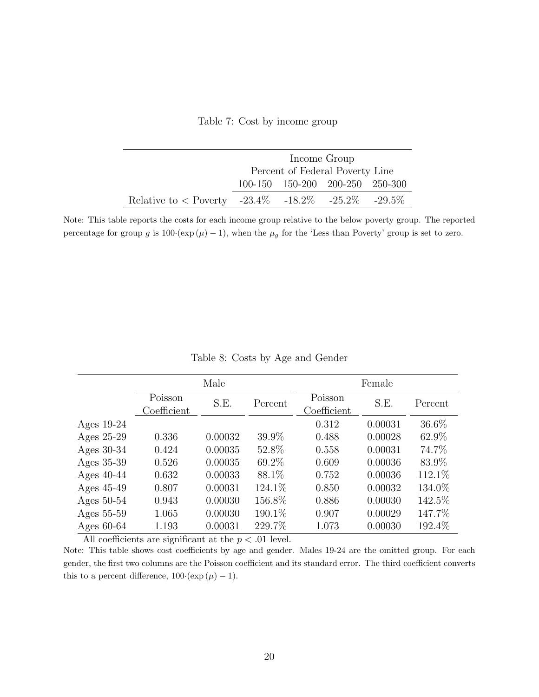Table 7: Cost by income group

<span id="page-19-0"></span>

|                                                               | Income Group                    |  |                                 |  |  |
|---------------------------------------------------------------|---------------------------------|--|---------------------------------|--|--|
|                                                               | Percent of Federal Poverty Line |  |                                 |  |  |
|                                                               |                                 |  | 100-150 150-200 200-250 250-300 |  |  |
| Relative to $\langle$ Poverty -23.4\% -18.2\% -25.2\% -29.5\% |                                 |  |                                 |  |  |

Note: This table reports the costs for each income group relative to the below poverty group. The reported percentage for group g is  $100 \cdot (\exp (\mu) - 1)$ , when the  $\mu_g$  for the 'Less than Poverty' group is set to zero.

Table 8: Costs by Age and Gender

<span id="page-19-1"></span>

|              | Male                            |         |         | Female                 |         |         |
|--------------|---------------------------------|---------|---------|------------------------|---------|---------|
|              | Poisson<br>$\text{Coefficient}$ | S.E.    | Percent | Poisson<br>Coefficient | S.E.    | Percent |
| Ages $19-24$ |                                 |         |         | 0.312                  | 0.00031 | 36.6%   |
| Ages 25-29   | 0.336                           | 0.00032 | 39.9%   | 0.488                  | 0.00028 | 62.9%   |
| Ages $30-34$ | 0.424                           | 0.00035 | 52.8%   | 0.558                  | 0.00031 | 74.7%   |
| Ages 35-39   | 0.526                           | 0.00035 | 69.2%   | 0.609                  | 0.00036 | 83.9%   |
| Ages $40-44$ | 0.632                           | 0.00033 | 88.1%   | 0.752                  | 0.00036 | 112.1\% |
| Ages 45-49   | 0.807                           | 0.00031 | 124.1\% | 0.850                  | 0.00032 | 134.0%  |
| Ages $50-54$ | 0.943                           | 0.00030 | 156.8%  | 0.886                  | 0.00030 | 142.5%  |
| Ages 55-59   | 1.065                           | 0.00030 | 190.1%  | 0.907                  | 0.00029 | 147.7%  |
| Ages $60-64$ | 1.193                           | 0.00031 | 229.7%  | 1.073                  | 0.00030 | 192.4%  |

All coefficients are significant at the  $p < .01$  level.

Note: This table shows cost coefficients by age and gender. Males 19-24 are the omitted group. For each gender, the first two columns are the Poisson coefficient and its standard error. The third coefficient converts this to a percent difference,  $100 \cdot (\exp(\mu) - 1)$ .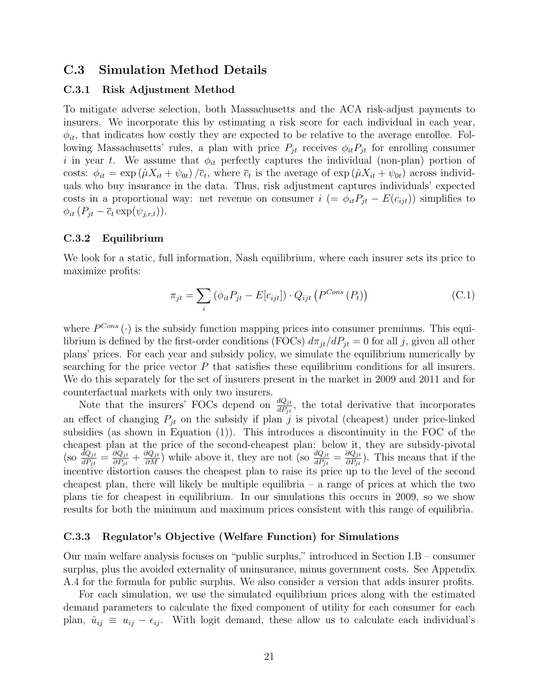# C.3 Simulation Method Details

#### C.3.1 Risk Adjustment Method

To mitigate adverse selection, both Massachusetts and the ACA risk-adjust payments to insurers. We incorporate this by estimating a risk score for each individual in each year,  $\phi_{it}$ , that indicates how costly they are expected to be relative to the average enrollee. Following Massachusetts' rules, a plan with price  $P_{jt}$  receives  $\phi_{it}P_{jt}$  for enrolling consumer i in year t. We assume that  $\phi_{it}$  perfectly captures the individual (non-plan) portion of costs:  $\phi_{it} = \exp(\hat{\mu}X_{it} + \psi_{0t})/\bar{c}_t$ , where  $\bar{c}_t$  is the average of  $\exp(\hat{\mu}X_{it} + \psi_{0t})$  across individuals who buy insurance in the data. Thus, risk adjustment captures individuals' expected costs in a proportional way: net revenue on consumer  $i = \phi_{it} P_{it} - E(c_{it})$  simplifies to  $\phi_{it}$   $(P_{jt} - \overline{c}_t \exp(\psi_{j,r,t})).$ 

#### C.3.2 Equilibrium

We look for a static, full information, Nash equilibrium, where each insurer sets its price to maximize profits:

$$
\pi_{jt} = \sum_{i} \left( \phi_{it} P_{jt} - E[c_{ijt}] \right) \cdot Q_{ijt} \left( P^{Cons} \left( P_{t} \right) \right) \tag{C.1}
$$

where  $P^{Cons}(\cdot)$  is the subsidy function mapping prices into consumer premiums. This equilibrium is defined by the first-order conditions (FOCs)  $d\pi_{jt}/dP_{jt} = 0$  for all j, given all other plans' prices. For each year and subsidy policy, we simulate the equilibrium numerically by searching for the price vector  $P$  that satisfies these equilibrium conditions for all insurers. We do this separately for the set of insurers present in the market in 2009 and 2011 and for counterfactual markets with only two insurers.

Note that the insurers' FOCs depend on  $\frac{dQ_{jt}}{dP_{jt}}$ , the total derivative that incorporates an effect of changing  $P_{jt}$  on the subsidy if plan j is pivotal (cheapest) under price-linked subsidies (as shown in Equation (1)). This introduces a discontinuity in the FOC of the cheapest plan at the price of the second-cheapest plan: below it, they are subsidy-pivotal  $\left(\text{so } \frac{dQ_{jt}}{dP_{jt}} = \frac{\partial Q_{jt}}{\partial P_{jt}}\right)$  $\frac{\partial Q_{jt}}{\partial P_{jt}} + \frac{\partial Q_{jt}}{\partial M}$  while above it, they are not (so  $\frac{dQ_{jt}}{dP_{jt}} = \frac{\partial Q_{jt}}{\partial P_{jt}}$  $\frac{\partial Q_{jt}}{\partial P_{jt}}$ . This means that if the incentive distortion causes the cheapest plan to raise its price up to the level of the second cheapest plan, there will likely be multiple equilibria – a range of prices at which the two plans tie for cheapest in equilibrium. In our simulations this occurs in 2009, so we show results for both the minimum and maximum prices consistent with this range of equilibria.

#### C.3.3 Regulator's Objective (Welfare Function) for Simulations

Our main welfare analysis focuses on "public surplus," introduced in Section I.B – consumer surplus, plus the avoided externality of uninsurance, minus government costs. See Appendix [A.4](#page-3-0) for the formula for public surplus. We also consider a version that adds insurer profits.

For each simulation, we use the simulated equilibrium prices along with the estimated demand parameters to calculate the fixed component of utility for each consumer for each plan,  $\hat{u}_{ij} \equiv u_{ij} - \epsilon_{ij}$ . With logit demand, these allow us to calculate each individual's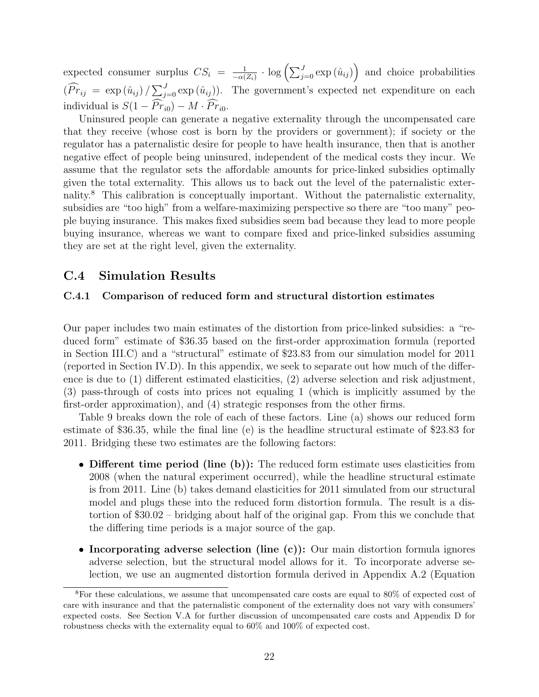expected consumer surplus  $CS_i = \frac{1}{-\alpha}$  $\frac{1}{-\alpha(Z_i)} \cdot \log \left( \sum_{j=0}^J \exp \left( \hat{u}_{ij} \right) \right)$  and choice probabilities  $(\widehat{Pr}_{ij} = \exp(\hat{u}_{ij}) / \sum_{j=0}^{J} \exp(\hat{u}_{ij}))$ . The government's expected net expenditure on each individual is  $S(1 - \widehat{Pr}_{i0}) - M \cdot \widehat{Pr}_{i0}$ .

Uninsured people can generate a negative externality through the uncompensated care that they receive (whose cost is born by the providers or government); if society or the regulator has a paternalistic desire for people to have health insurance, then that is another negative effect of people being uninsured, independent of the medical costs they incur. We assume that the regulator sets the affordable amounts for price-linked subsidies optimally given the total externality. This allows us to back out the level of the paternalistic externality.[8](#page-0-0) This calibration is conceptually important. Without the paternalistic externality, subsidies are "too high" from a welfare-maximizing perspective so there are "too many" people buying insurance. This makes fixed subsidies seem bad because they lead to more people buying insurance, whereas we want to compare fixed and price-linked subsidies assuming they are set at the right level, given the externality.

# C.4 Simulation Results

#### C.4.1 Comparison of reduced form and structural distortion estimates

Our paper includes two main estimates of the distortion from price-linked subsidies: a "reduced form" estimate of \$36.35 based on the first-order approximation formula (reported in Section III.C) and a "structural" estimate of \$23.83 from our simulation model for 2011 (reported in Section IV.D). In this appendix, we seek to separate out how much of the difference is due to (1) different estimated elasticities, (2) adverse selection and risk adjustment, (3) pass-through of costs into prices not equaling 1 (which is implicitly assumed by the first-order approximation), and (4) strategic responses from the other firms.

Table [9](#page-22-0) breaks down the role of each of these factors. Line (a) shows our reduced form estimate of \$36.35, while the final line (e) is the headline structural estimate of \$23.83 for 2011. Bridging these two estimates are the following factors:

- Different time period (line (b)): The reduced form estimate uses elasticities from 2008 (when the natural experiment occurred), while the headline structural estimate is from 2011. Line (b) takes demand elasticities for 2011 simulated from our structural model and plugs these into the reduced form distortion formula. The result is a distortion of \$30.02 – bridging about half of the original gap. From this we conclude that the differing time periods is a major source of the gap.
- Incorporating adverse selection (line (c)): Our main distortion formula ignores adverse selection, but the structural model allows for it. To incorporate adverse selection, we use an augmented distortion formula derived in Appendix [A.2](#page-1-0) (Equation

<sup>8</sup>For these calculations, we assume that uncompensated care costs are equal to 80% of expected cost of care with insurance and that the paternalistic component of the externality does not vary with consumers' expected costs. See Section V.A for further discussion of uncompensated care costs and Appendix [D](#page-24-0) for robustness checks with the externality equal to 60% and 100% of expected cost.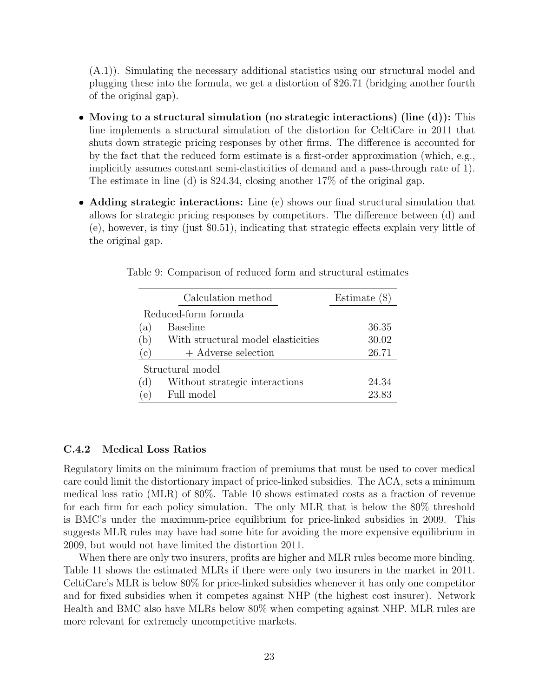[\(A.1\)](#page-2-0)). Simulating the necessary additional statistics using our structural model and plugging these into the formula, we get a distortion of \$26.71 (bridging another fourth of the original gap).

- Moving to a structural simulation (no strategic interactions) (line (d)): This line implements a structural simulation of the distortion for CeltiCare in 2011 that shuts down strategic pricing responses by other firms. The difference is accounted for by the fact that the reduced form estimate is a first-order approximation (which, e.g., implicitly assumes constant semi-elasticities of demand and a pass-through rate of 1). The estimate in line (d) is \$24.34, closing another 17% of the original gap.
- Adding strategic interactions: Line (e) shows our final structural simulation that allows for strategic pricing responses by competitors. The difference between (d) and (e), however, is tiny (just \$0.51), indicating that strategic effects explain very little of the original gap.

|                  | Calculation method                 | Estimate $(\$)$ |  |  |  |
|------------------|------------------------------------|-----------------|--|--|--|
|                  | Reduced-form formula               |                 |  |  |  |
| a)               | <b>Baseline</b>                    | 36.35           |  |  |  |
| (b)              | With structural model elasticities | 30.02           |  |  |  |
| (C)              | + Adverse selection                | 26.71           |  |  |  |
| Structural model |                                    |                 |  |  |  |
| (d)              | Without strategic interactions     | 24.34           |  |  |  |
| $\mathbf{e}$     | Full model                         | 23.83           |  |  |  |

<span id="page-22-0"></span>Table 9: Comparison of reduced form and structural estimates

### C.4.2 Medical Loss Ratios

Regulatory limits on the minimum fraction of premiums that must be used to cover medical care could limit the distortionary impact of price-linked subsidies. The ACA, sets a minimum medical loss ratio (MLR) of 80%. Table [10](#page-23-0) shows estimated costs as a fraction of revenue for each firm for each policy simulation. The only MLR that is below the 80% threshold is BMC's under the maximum-price equilibrium for price-linked subsidies in 2009. This suggests MLR rules may have had some bite for avoiding the more expensive equilibrium in 2009, but would not have limited the distortion 2011.

When there are only two insurers, profits are higher and MLR rules become more binding. Table [11](#page-23-1) shows the estimated MLRs if there were only two insurers in the market in 2011. CeltiCare's MLR is below 80% for price-linked subsidies whenever it has only one competitor and for fixed subsidies when it competes against NHP (the highest cost insurer). Network Health and BMC also have MLRs below 80% when competing against NHP. MLR rules are more relevant for extremely uncompetitive markets.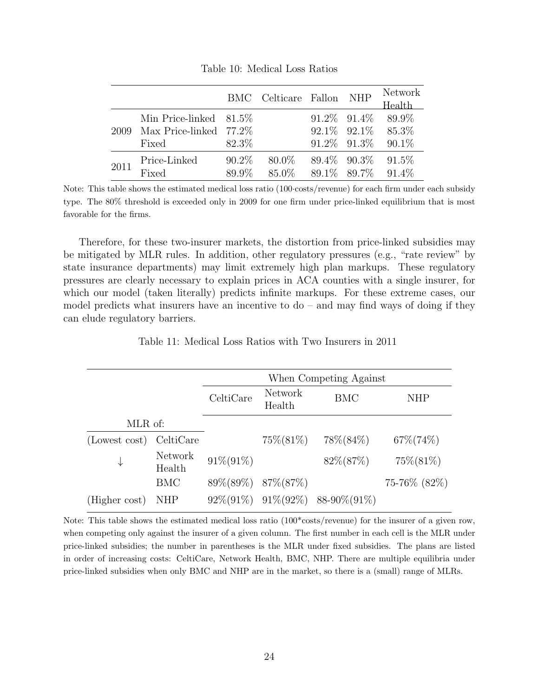<span id="page-23-0"></span>

|      |                           |          | BMC Celticare Fallon NHP |                   | <b>Network</b><br>Health   |
|------|---------------------------|----------|--------------------------|-------------------|----------------------------|
|      | Min Price-linked $81.5\%$ |          |                          | $91.2\%$ $91.4\%$ | 89.9%                      |
| 2009 | Max Price-linked $77.2\%$ |          |                          |                   | $92.1\%$ $92.1\%$ $85.3\%$ |
|      | Fixed                     | 82.3\%   |                          | $91.2\%$ $91.3\%$ | $90.1\%$                   |
| 2011 | Price-Linked              | $90.2\%$ | $80.0\%$                 | $89.4\%$ $90.3\%$ | $91.5\%$                   |
|      | Fixed                     | 89.9%    | 85.0\% 89.1\% 89.7\%     |                   | $91.4\%$                   |

Table 10: Medical Loss Ratios

Note: This table shows the estimated medical loss ratio (100·costs/revenue) for each firm under each subsidy type. The 80% threshold is exceeded only in 2009 for one firm under price-linked equilibrium that is most favorable for the firms.

Therefore, for these two-insurer markets, the distortion from price-linked subsidies may be mitigated by MLR rules. In addition, other regulatory pressures (e.g., "rate review" by state insurance departments) may limit extremely high plan markups. These regulatory pressures are clearly necessary to explain prices in ACA counties with a single insurer, for which our model (taken literally) predicts infinite markups. For these extreme cases, our model predicts what insurers have an incentive to  $d\sigma$  – and may find ways of doing if they can elude regulatory barriers.

Table 11: Medical Loss Ratios with Two Insurers in 2011

<span id="page-23-1"></span>

|               |                   | When Competing Against |                   |                                |               |  |
|---------------|-------------------|------------------------|-------------------|--------------------------------|---------------|--|
|               |                   | CeltiCare              | Network<br>Health | <b>BMC</b>                     | <b>NHP</b>    |  |
| MLR of:       |                   |                        |                   |                                |               |  |
| (Lowest cost) | CeltiCare         |                        | $75\%(81\%)$      | $78\%(84\%)$                   | $67\% (74\%)$ |  |
| ↓             | Network<br>Health | $91\% (91\%)$          |                   | $82\%(87\%)$                   | $75\%(81\%)$  |  |
|               | <b>BMC</b>        | $89\%(89\%)$           | 87\%(87\%)        |                                | 75-76% (82%)  |  |
| (Higher cost) | NHP               | $92\%(91\%)$           |                   | $91\% (92\%)$ 88-90\% $(91\%)$ |               |  |

Note: This table shows the estimated medical loss ratio  $(100*costs/revenue)$  for the insurer of a given row, when competing only against the insurer of a given column. The first number in each cell is the MLR under price-linked subsidies; the number in parentheses is the MLR under fixed subsidies. The plans are listed in order of increasing costs: CeltiCare, Network Health, BMC, NHP. There are multiple equilibria under price-linked subsidies when only BMC and NHP are in the market, so there is a (small) range of MLRs.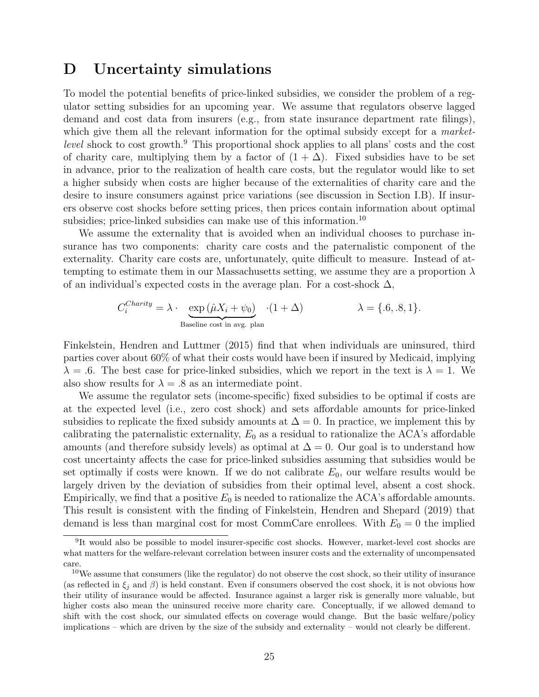# <span id="page-24-0"></span>D Uncertainty simulations

To model the potential benefits of price-linked subsidies, we consider the problem of a regulator setting subsidies for an upcoming year. We assume that regulators observe lagged demand and cost data from insurers (e.g., from state insurance department rate filings), which give them all the relevant information for the optimal subsidy except for a *marketlevel* shock to cost growth.<sup>[9](#page-0-0)</sup> This proportional shock applies to all plans' costs and the cost of charity care, multiplying them by a factor of  $(1 + \Delta)$ . Fixed subsidies have to be set in advance, prior to the realization of health care costs, but the regulator would like to set a higher subsidy when costs are higher because of the externalities of charity care and the desire to insure consumers against price variations (see discussion in Section I.B). If insurers observe cost shocks before setting prices, then prices contain information about optimal subsidies; price-linked subsidies can make use of this information.<sup>[10](#page-0-0)</sup>

We assume the externality that is avoided when an individual chooses to purchase insurance has two components: charity care costs and the paternalistic component of the externality. Charity care costs are, unfortunately, quite difficult to measure. Instead of attempting to estimate them in our Massachusetts setting, we assume they are a proportion  $\lambda$ of an individual's expected costs in the average plan. For a cost-shock  $\Delta$ ,

$$
C_i^{Charity} = \lambda \cdot \underbrace{\exp (\hat{\mu}X_i + \psi_0)}_{\text{Baseline cost in avg. plan}} \cdot (1 + \Delta) \qquad \lambda = \{.6, .8, 1\}.
$$

[Finkelstein, Hendren and Luttmer](#page-31-2) [\(2015\)](#page-31-2) find that when individuals are uninsured, third parties cover about 60% of what their costs would have been if insured by Medicaid, implying  $\lambda = 0.6$ . The best case for price-linked subsidies, which we report in the text is  $\lambda = 1$ . We also show results for  $\lambda = .8$  as an intermediate point.

We assume the regulator sets (income-specific) fixed subsidies to be optimal if costs are at the expected level (i.e., zero cost shock) and sets affordable amounts for price-linked subsidies to replicate the fixed subsidy amounts at  $\Delta = 0$ . In practice, we implement this by calibrating the paternalistic externality,  $E_0$  as a residual to rationalize the ACA's affordable amounts (and therefore subsidy levels) as optimal at  $\Delta = 0$ . Our goal is to understand how cost uncertainty affects the case for price-linked subsidies assuming that subsidies would be set optimally if costs were known. If we do not calibrate  $E_0$ , our welfare results would be largely driven by the deviation of subsidies from their optimal level, absent a cost shock. Empirically, we find that a positive  $E_0$  is needed to rationalize the ACA's affordable amounts. This result is consistent with the finding of [Finkelstein, Hendren and Shepard](#page-31-3) [\(2019\)](#page-31-3) that demand is less than marginal cost for most CommCare enrollees. With  $E_0 = 0$  the implied

<sup>&</sup>lt;sup>9</sup>It would also be possible to model insurer-specific cost shocks. However, market-level cost shocks are what matters for the welfare-relevant correlation between insurer costs and the externality of uncompensated care.

 $10$ We assume that consumers (like the regulator) do not observe the cost shock, so their utility of insurance (as reflected in  $\xi_i$  and  $\beta$ ) is held constant. Even if consumers observed the cost shock, it is not obvious how their utility of insurance would be affected. Insurance against a larger risk is generally more valuable, but higher costs also mean the uninsured receive more charity care. Conceptually, if we allowed demand to shift with the cost shock, our simulated effects on coverage would change. But the basic welfare/policy implications – which are driven by the size of the subsidy and externality – would not clearly be different.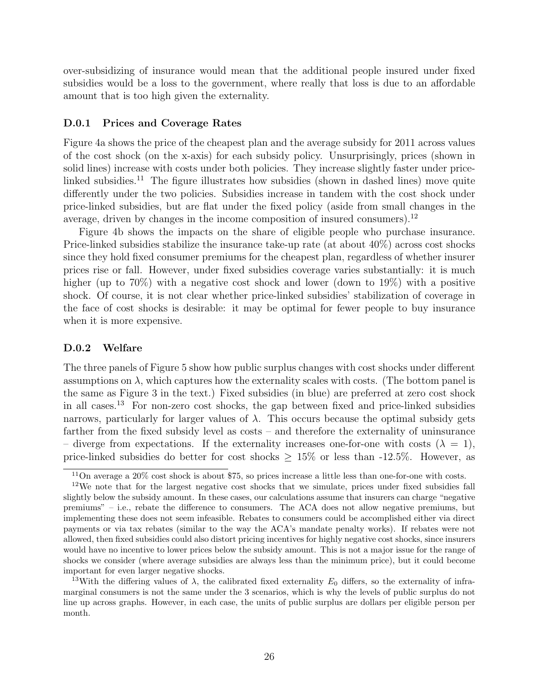over-subsidizing of insurance would mean that the additional people insured under fixed subsidies would be a loss to the government, where really that loss is due to an affordable amount that is too high given the externality.

#### D.0.1 Prices and Coverage Rates

Figure [4a](#page-26-0) shows the price of the cheapest plan and the average subsidy for 2011 across values of the cost shock (on the x-axis) for each subsidy policy. Unsurprisingly, prices (shown in solid lines) increase with costs under both policies. They increase slightly faster under price-linked subsidies.<sup>[11](#page-0-0)</sup> The figure illustrates how subsidies (shown in dashed lines) move quite differently under the two policies. Subsidies increase in tandem with the cost shock under price-linked subsidies, but are flat under the fixed policy (aside from small changes in the average, driven by changes in the income composition of insured consumers).[12](#page-0-0)

Figure [4b](#page-26-0) shows the impacts on the share of eligible people who purchase insurance. Price-linked subsidies stabilize the insurance take-up rate (at about 40%) across cost shocks since they hold fixed consumer premiums for the cheapest plan, regardless of whether insurer prices rise or fall. However, under fixed subsidies coverage varies substantially: it is much higher (up to 70%) with a negative cost shock and lower (down to 19%) with a positive shock. Of course, it is not clear whether price-linked subsidies' stabilization of coverage in the face of cost shocks is desirable: it may be optimal for fewer people to buy insurance when it is more expensive.

#### D.0.2 Welfare

The three panels of Figure [5](#page-27-0) show how public surplus changes with cost shocks under different assumptions on  $\lambda$ , which captures how the externality scales with costs. (The bottom panel is the same as Figure 3 in the text.) Fixed subsidies (in blue) are preferred at zero cost shock in all cases.[13](#page-0-0) For non-zero cost shocks, the gap between fixed and price-linked subsidies narrows, particularly for larger values of  $\lambda$ . This occurs because the optimal subsidy gets farther from the fixed subsidy level as costs – and therefore the externality of uninsurance – diverge from expectations. If the externality increases one-for-one with costs  $(\lambda = 1)$ , price-linked subsidies do better for cost shocks  $\geq 15\%$  or less than -12.5%. However, as

 $11$ On average a  $20\%$  cost shock is about \$75, so prices increase a little less than one-for-one with costs.

<sup>12</sup>We note that for the largest negative cost shocks that we simulate, prices under fixed subsidies fall slightly below the subsidy amount. In these cases, our calculations assume that insurers can charge "negative premiums" – i.e., rebate the difference to consumers. The ACA does not allow negative premiums, but implementing these does not seem infeasible. Rebates to consumers could be accomplished either via direct payments or via tax rebates (similar to the way the ACA's mandate penalty works). If rebates were not allowed, then fixed subsidies could also distort pricing incentives for highly negative cost shocks, since insurers would have no incentive to lower prices below the subsidy amount. This is not a major issue for the range of shocks we consider (where average subsidies are always less than the minimum price), but it could become important for even larger negative shocks.

<sup>&</sup>lt;sup>13</sup>With the differing values of  $\lambda$ , the calibrated fixed externality  $E_0$  differs, so the externality of inframarginal consumers is not the same under the 3 scenarios, which is why the levels of public surplus do not line up across graphs. However, in each case, the units of public surplus are dollars per eligible person per month.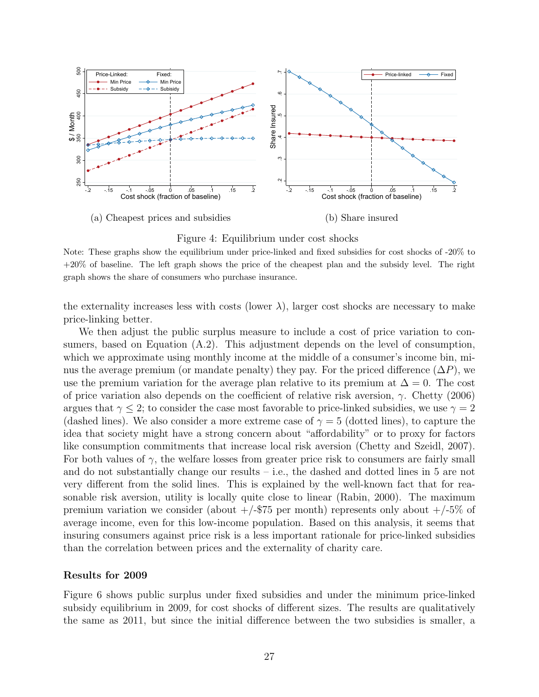<span id="page-26-0"></span>

Figure 4: Equilibrium under cost shocks

the externality increases less with costs (lower  $\lambda$ ), larger cost shocks are necessary to make price-linking better.

We then adjust the public surplus measure to include a cost of price variation to consumers, based on Equation [\(A.2\)](#page-4-0). This adjustment depends on the level of consumption, which we approximate using monthly income at the middle of a consumer's income bin, minus the average premium (or mandate penalty) they pay. For the priced difference  $(\Delta P)$ , we use the premium variation for the average plan relative to its premium at  $\Delta = 0$ . The cost of price variation also depends on the coefficient of relative risk aversion,  $\gamma$ . [Chetty](#page-31-4) [\(2006\)](#page-31-4) argues that  $\gamma \leq 2$ ; to consider the case most favorable to price-linked subsidies, we use  $\gamma = 2$ (dashed lines). We also consider a more extreme case of  $\gamma = 5$  (dotted lines), to capture the idea that society might have a strong concern about "affordability" or to proxy for factors like consumption commitments that increase local risk aversion [\(Chetty and Szeidl,](#page-31-5) [2007\)](#page-31-5). For both values of  $\gamma$ , the welfare losses from greater price risk to consumers are fairly small and do not substantially change our results  $-$  i.e., the dashed and dotted lines in [5](#page-27-0) are not very different from the solid lines. This is explained by the well-known fact that for reasonable risk aversion, utility is locally quite close to linear [\(Rabin,](#page-31-6) [2000\)](#page-31-6). The maximum premium variation we consider (about  $+/-$ \$75 per month) represents only about  $+/-$ 5% of average income, even for this low-income population. Based on this analysis, it seems that insuring consumers against price risk is a less important rationale for price-linked subsidies than the correlation between prices and the externality of charity care.

#### Results for 2009

Figure [6](#page-29-0) shows public surplus under fixed subsidies and under the minimum price-linked subsidy equilibrium in 2009, for cost shocks of different sizes. The results are qualitatively the same as 2011, but since the initial difference between the two subsidies is smaller, a

Note: These graphs show the equilibrium under price-linked and fixed subsidies for cost shocks of -20% to +20% of baseline. The left graph shows the price of the cheapest plan and the subsidy level. The right graph shows the share of consumers who purchase insurance.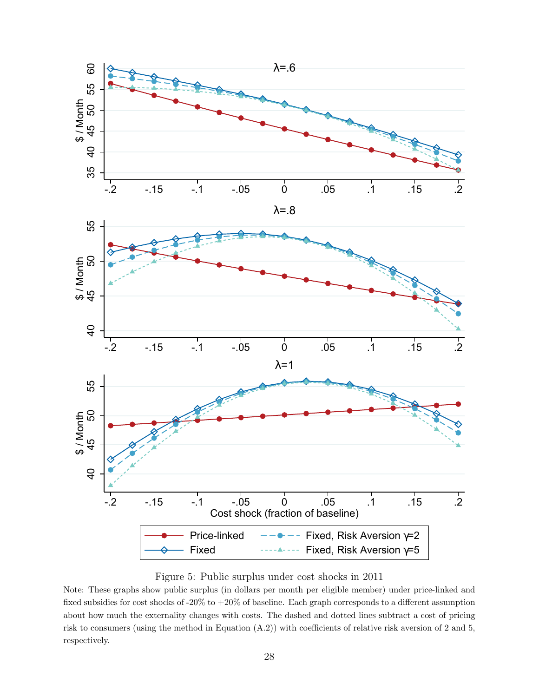<span id="page-27-0"></span>

Figure 5: Public surplus under cost shocks in 2011

Note: These graphs show public surplus (in dollars per month per eligible member) under price-linked and fixed subsidies for cost shocks of -20% to +20% of baseline. Each graph corresponds to a different assumption about how much the externality changes with costs. The dashed and dotted lines subtract a cost of pricing risk to consumers (using the method in Equation [\(A.2\)](#page-4-0)) with coefficients of relative risk aversion of 2 and 5, respectively.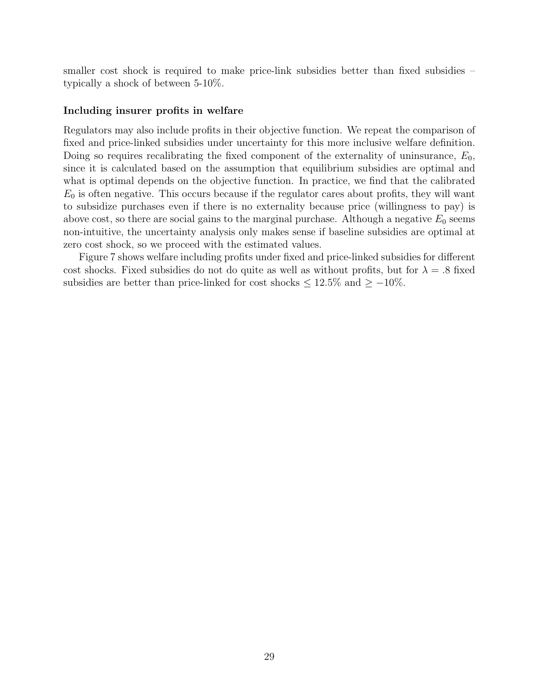smaller cost shock is required to make price-link subsidies better than fixed subsidies – typically a shock of between 5-10%.

#### Including insurer profits in welfare

Regulators may also include profits in their objective function. We repeat the comparison of fixed and price-linked subsidies under uncertainty for this more inclusive welfare definition. Doing so requires recalibrating the fixed component of the externality of uninsurance,  $E_0$ , since it is calculated based on the assumption that equilibrium subsidies are optimal and what is optimal depends on the objective function. In practice, we find that the calibrated  $E_0$  is often negative. This occurs because if the regulator cares about profits, they will want to subsidize purchases even if there is no externality because price (willingness to pay) is above cost, so there are social gains to the marginal purchase. Although a negative  $E_0$  seems non-intuitive, the uncertainty analysis only makes sense if baseline subsidies are optimal at zero cost shock, so we proceed with the estimated values.

Figure [7](#page-30-0) shows welfare including profits under fixed and price-linked subsidies for different cost shocks. Fixed subsidies do not do quite as well as without profits, but for  $\lambda = .8$  fixed subsidies are better than price-linked for cost shocks  $\leq 12.5\%$  and  $\geq -10\%$ .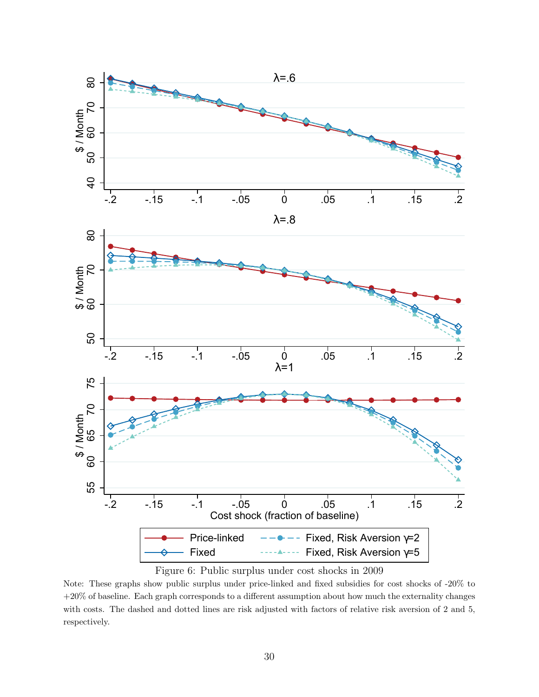<span id="page-29-0"></span>![](_page_29_Figure_0.jpeg)

Figure 6: Public surplus under cost shocks in 2009

Note: These graphs show public surplus under price-linked and fixed subsidies for cost shocks of -20% to +20% of baseline. Each graph corresponds to a different assumption about how much the externality changes with costs. The dashed and dotted lines are risk adjusted with factors of relative risk aversion of 2 and 5, respectively.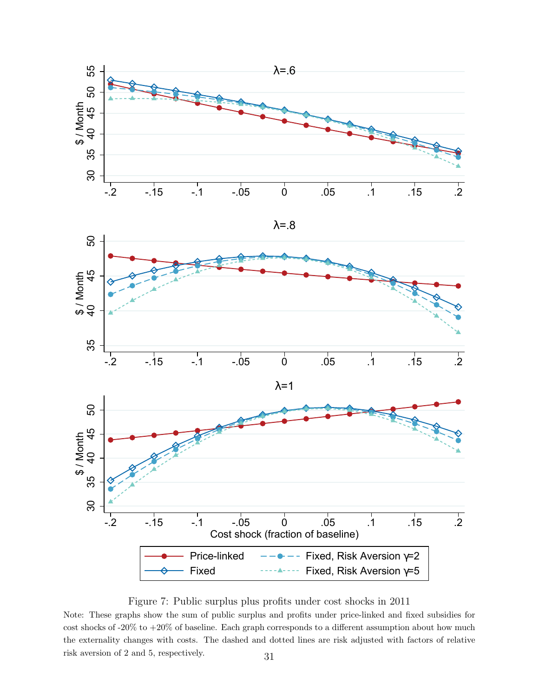<span id="page-30-0"></span>![](_page_30_Figure_0.jpeg)

![](_page_30_Figure_1.jpeg)

Figure 7: Public surplus plus profits under cost shocks in 2011

Note: These graphs show the sum of public surplus and profits under price-linked and fixed subsidies for cost shocks of -20% to +20% of baseline. Each graph corresponds to a different assumption about how much the externality changes with costs. The dashed and dotted lines are risk adjusted with factors of relative risk aversion of 2 and 5, respectively. 31